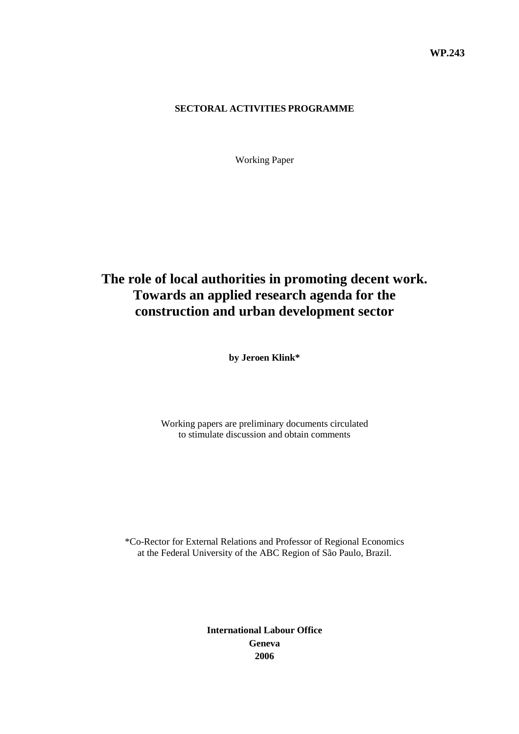#### **SECTORAL ACTIVITIES PROGRAMME**

Working Paper

# **The role of local authorities in promoting decent work. Towards an applied research agenda for the construction and urban development sector**

**by Jeroen Klink\*** 

Working papers are preliminary documents circulated to stimulate discussion and obtain comments

\*Co-Rector for External Relations and Professor of Regional Economics at the Federal University of the ABC Region of São Paulo, Brazil.

> **International Labour Office Geneva 2006**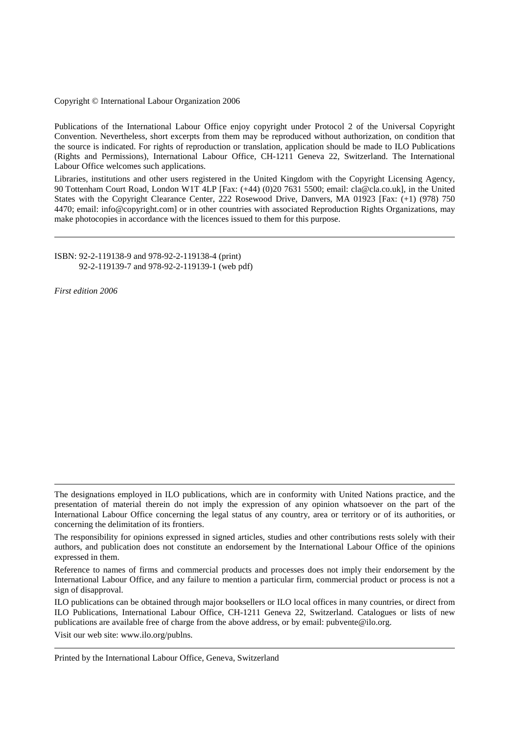Copyright © International Labour Organization 2006

Publications of the International Labour Office enjoy copyright under Protocol 2 of the Universal Copyright Convention. Nevertheless, short excerpts from them may be reproduced without authorization, on condition that the source is indicated. For rights of reproduction or translation, application should be made to ILO Publications (Rights and Permissions), International Labour Office, CH-1211 Geneva 22, Switzerland. The International Labour Office welcomes such applications.

Libraries, institutions and other users registered in the United Kingdom with the Copyright Licensing Agency, 90 Tottenham Court Road, London W1T 4LP [Fax: (+44) (0)20 7631 5500; email: cla@cla.co.uk], in the United States with the Copyright Clearance Center, 222 Rosewood Drive, Danvers, MA 01923 [Fax: (+1) (978) 750 4470; email: info@copyright.com] or in other countries with associated Reproduction Rights Organizations, may make photocopies in accordance with the licences issued to them for this purpose.

ISBN: 92-2-119138-9 and 978-92-2-119138-4 (print) 92-2-119139-7 and 978-92-2-119139-1 (web pdf)

*First edition 2006* 

Visit our web site: www.ilo.org/publns.

Printed by the International Labour Office, Geneva, Switzerland

The designations employed in ILO publications, which are in conformity with United Nations practice, and the presentation of material therein do not imply the expression of any opinion whatsoever on the part of the International Labour Office concerning the legal status of any country, area or territory or of its authorities, or concerning the delimitation of its frontiers.

The responsibility for opinions expressed in signed articles, studies and other contributions rests solely with their authors, and publication does not constitute an endorsement by the International Labour Office of the opinions expressed in them.

Reference to names of firms and commercial products and processes does not imply their endorsement by the International Labour Office, and any failure to mention a particular firm, commercial product or process is not a sign of disapproval.

ILO publications can be obtained through major booksellers or ILO local offices in many countries, or direct from ILO Publications, International Labour Office, CH-1211 Geneva 22, Switzerland. Catalogues or lists of new publications are available free of charge from the above address, or by email: pubvente@ilo.org.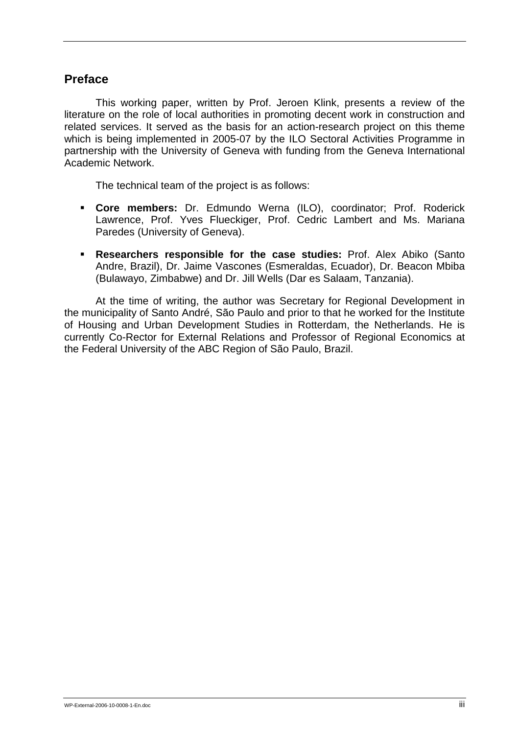# **Preface**

 This working paper, written by Prof. Jeroen Klink, presents a review of the literature on the role of local authorities in promoting decent work in construction and related services. It served as the basis for an action-research project on this theme which is being implemented in 2005-07 by the ILO Sectoral Activities Programme in partnership with the University of Geneva with funding from the Geneva International Academic Network.

The technical team of the project is as follows:

- ! **Core members:** Dr. Edmundo Werna (ILO), coordinator; Prof. Roderick Lawrence, Prof. Yves Flueckiger, Prof. Cedric Lambert and Ms. Mariana Paredes (University of Geneva).
- ! **Researchers responsible for the case studies:** Prof. Alex Abiko (Santo Andre, Brazil), Dr. Jaime Vascones (Esmeraldas, Ecuador), Dr. Beacon Mbiba (Bulawayo, Zimbabwe) and Dr. Jill Wells (Dar es Salaam, Tanzania).

 At the time of writing, the author was Secretary for Regional Development in the municipality of Santo André, São Paulo and prior to that he worked for the Institute of Housing and Urban Development Studies in Rotterdam, the Netherlands. He is currently Co-Rector for External Relations and Professor of Regional Economics at the Federal University of the ABC Region of São Paulo, Brazil.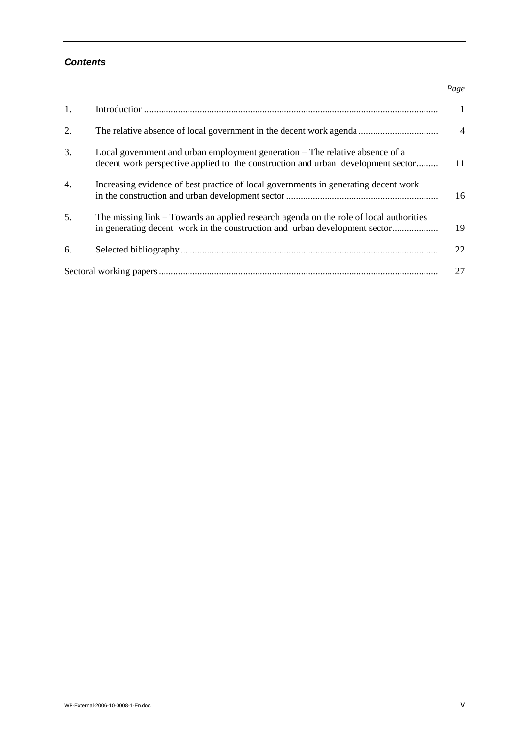#### *Contents*

| 1.               |                                                                                                                                                                      | 1              |
|------------------|----------------------------------------------------------------------------------------------------------------------------------------------------------------------|----------------|
| 2.               |                                                                                                                                                                      | $\overline{4}$ |
| 3.               | Local government and urban employment generation – The relative absence of a<br>decent work perspective applied to the construction and urban development sector     | 11             |
| $\overline{4}$ . | Increasing evidence of best practice of local governments in generating decent work                                                                                  | 16             |
| 5.               | The missing link – Towards an applied research agenda on the role of local authorities<br>in generating decent work in the construction and urban development sector | 19             |
| 6.               |                                                                                                                                                                      | 22             |
|                  |                                                                                                                                                                      | 27             |

*Page*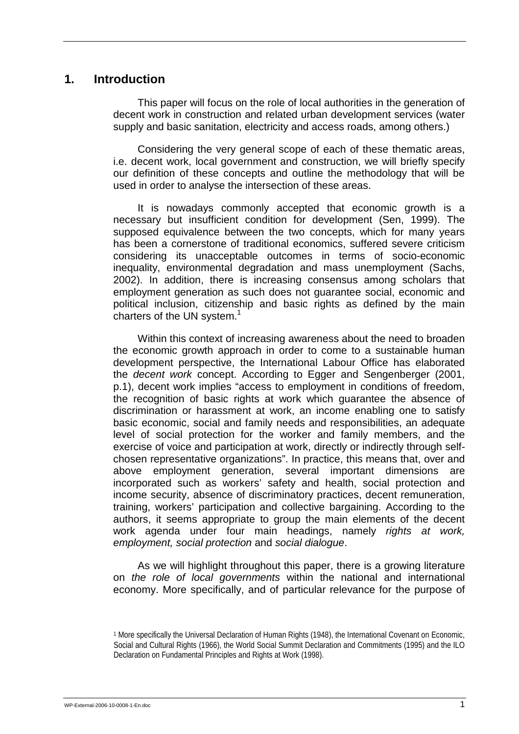### **1. Introduction**

This paper will focus on the role of local authorities in the generation of decent work in construction and related urban development services (water supply and basic sanitation, electricity and access roads, among others.)

Considering the very general scope of each of these thematic areas, i.e. decent work, local government and construction, we will briefly specify our definition of these concepts and outline the methodology that will be used in order to analyse the intersection of these areas.

It is nowadays commonly accepted that economic growth is a necessary but insufficient condition for development (Sen, 1999). The supposed equivalence between the two concepts, which for many years has been a cornerstone of traditional economics, suffered severe criticism considering its unacceptable outcomes in terms of socio-economic inequality, environmental degradation and mass unemployment (Sachs, 2002). In addition, there is increasing consensus among scholars that employment generation as such does not guarantee social, economic and political inclusion, citizenship and basic rights as defined by the main charters of the UN system.<sup>1</sup>

Within this context of increasing awareness about the need to broaden the economic growth approach in order to come to a sustainable human development perspective, the International Labour Office has elaborated the *decent work* concept. According to Egger and Sengenberger (2001, p.1), decent work implies "access to employment in conditions of freedom, the recognition of basic rights at work which guarantee the absence of discrimination or harassment at work, an income enabling one to satisfy basic economic, social and family needs and responsibilities, an adequate level of social protection for the worker and family members, and the exercise of voice and participation at work, directly or indirectly through selfchosen representative organizations". In practice, this means that, over and above employment generation, several important dimensions are incorporated such as workers' safety and health, social protection and income security, absence of discriminatory practices, decent remuneration, training, workers' participation and collective bargaining. According to the authors, it seems appropriate to group the main elements of the decent work agenda under four main headings, namely *rights at work, employment, social protection* and *social dialogue*.

As we will highlight throughout this paper, there is a growing literature on *the role of local governments* within the national and international economy. More specifically, and of particular relevance for the purpose of

<sup>1</sup> More specifically the Universal Declaration of Human Rights (1948), the International Covenant on Economic, Social and Cultural Rights (1966), the World Social Summit Declaration and Commitments (1995) and the ILO Declaration on Fundamental Principles and Rights at Work (1998).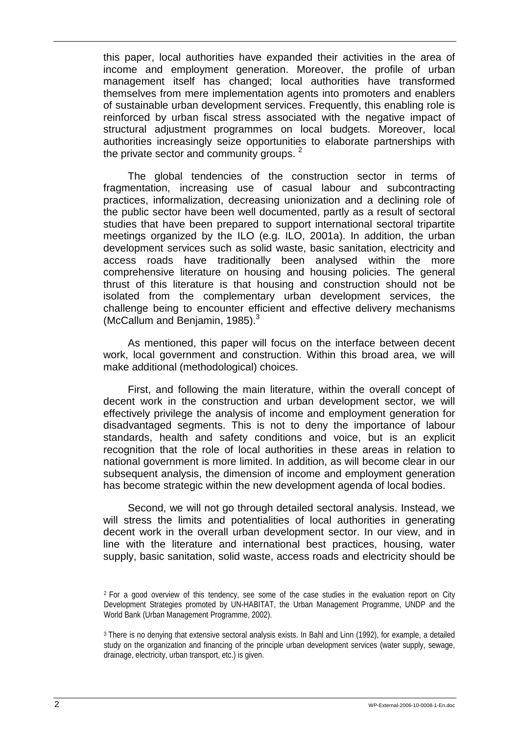this paper, local authorities have expanded their activities in the area of income and employment generation. Moreover, the profile of urban management itself has changed; local authorities have transformed themselves from mere implementation agents into promoters and enablers of sustainable urban development services. Frequently, this enabling role is reinforced by urban fiscal stress associated with the negative impact of structural adjustment programmes on local budgets. Moreover, local authorities increasingly seize opportunities to elaborate partnerships with the private sector and community groups.  $2^2$ 

The global tendencies of the construction sector in terms of fragmentation, increasing use of casual labour and subcontracting practices, informalization, decreasing unionization and a declining role of the public sector have been well documented, partly as a result of sectoral studies that have been prepared to support international sectoral tripartite meetings organized by the ILO (e.g. ILO, 2001a). In addition, the urban development services such as solid waste, basic sanitation, electricity and access roads have traditionally been analysed within the more comprehensive literature on housing and housing policies. The general thrust of this literature is that housing and construction should not be isolated from the complementary urban development services, the challenge being to encounter efficient and effective delivery mechanisms (McCallum and Benjamin, 1985). $3$ 

As mentioned, this paper will focus on the interface between decent work, local government and construction. Within this broad area, we will make additional (methodological) choices.

First, and following the main literature, within the overall concept of decent work in the construction and urban development sector, we will effectively privilege the analysis of income and employment generation for disadvantaged segments. This is not to deny the importance of labour standards, health and safety conditions and voice, but is an explicit recognition that the role of local authorities in these areas in relation to national government is more limited. In addition, as will become clear in our subsequent analysis, the dimension of income and employment generation has become strategic within the new development agenda of local bodies.

Second, we will not go through detailed sectoral analysis. Instead, we will stress the limits and potentialities of local authorities in generating decent work in the overall urban development sector. In our view, and in line with the literature and international best practices, housing, water supply, basic sanitation, solid waste, access roads and electricity should be

<sup>2</sup> For a good overview of this tendency, see some of the case studies in the evaluation report on City Development Strategies promoted by UN-HABITAT, the Urban Management Programme, UNDP and the World Bank (Urban Management Programme, 2002).

<sup>3</sup> There is no denying that extensive sectoral analysis exists. In Bahl and Linn (1992), for example, a detailed study on the organization and financing of the principle urban development services (water supply, sewage, drainage, electricity, urban transport, etc.) is given.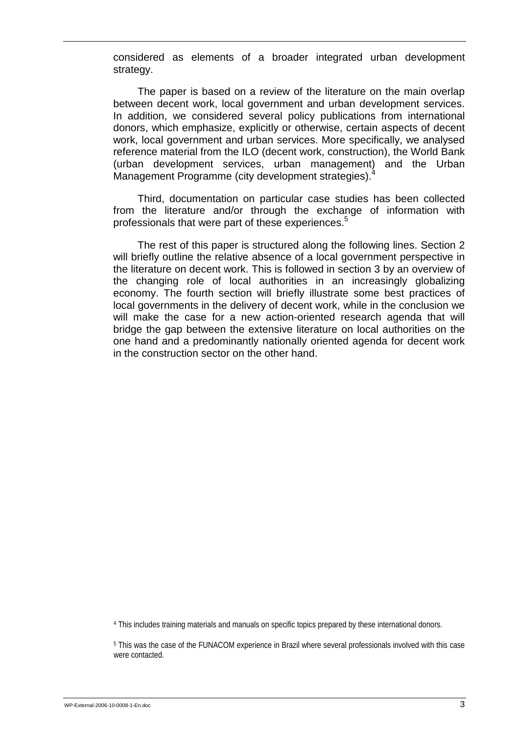considered as elements of a broader integrated urban development strategy.

The paper is based on a review of the literature on the main overlap between decent work, local government and urban development services. In addition, we considered several policy publications from international donors, which emphasize, explicitly or otherwise, certain aspects of decent work, local government and urban services. More specifically, we analysed reference material from the ILO (decent work, construction), the World Bank (urban development services, urban management) and the Urban Management Programme (city development strategies).<sup>4</sup>

Third, documentation on particular case studies has been collected from the literature and/or through the exchange of information with professionals that were part of these experiences.<sup>5</sup>

The rest of this paper is structured along the following lines. Section 2 will briefly outline the relative absence of a local government perspective in the literature on decent work. This is followed in section 3 by an overview of the changing role of local authorities in an increasingly globalizing economy. The fourth section will briefly illustrate some best practices of local governments in the delivery of decent work, while in the conclusion we will make the case for a new action-oriented research agenda that will bridge the gap between the extensive literature on local authorities on the one hand and a predominantly nationally oriented agenda for decent work in the construction sector on the other hand.

4 This includes training materials and manuals on specific topics prepared by these international donors.

5 This was the case of the FUNACOM experience in Brazil where several professionals involved with this case were contacted.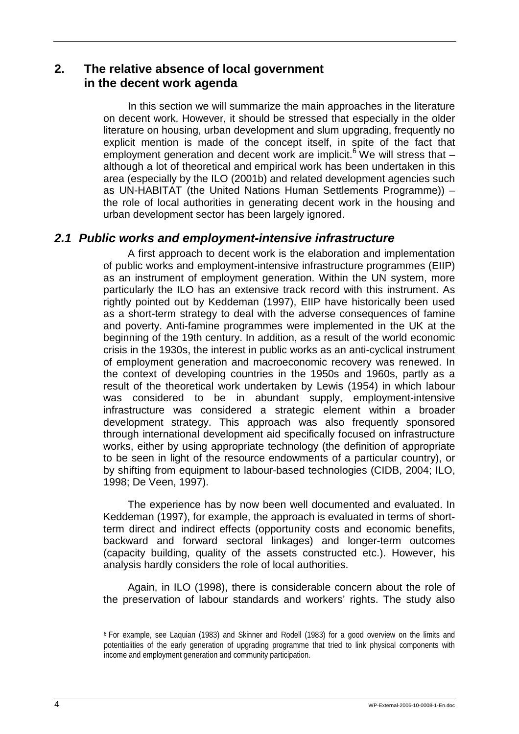# **2. The relative absence of local government in the decent work agenda**

In this section we will summarize the main approaches in the literature on decent work. However, it should be stressed that especially in the older literature on housing, urban development and slum upgrading, frequently no explicit mention is made of the concept itself, in spite of the fact that employment generation and decent work are implicit.<sup>6</sup> We will stress that although a lot of theoretical and empirical work has been undertaken in this area (especially by the ILO (2001b) and related development agencies such as UN-HABITAT (the United Nations Human Settlements Programme)) – the role of local authorities in generating decent work in the housing and urban development sector has been largely ignored.

# *2.1 Public works and employment-intensive infrastructure*

A first approach to decent work is the elaboration and implementation of public works and employment-intensive infrastructure programmes (EIIP) as an instrument of employment generation. Within the UN system, more particularly the ILO has an extensive track record with this instrument. As rightly pointed out by Keddeman (1997), EIIP have historically been used as a short-term strategy to deal with the adverse consequences of famine and poverty. Anti-famine programmes were implemented in the UK at the beginning of the 19th century. In addition, as a result of the world economic crisis in the 1930s, the interest in public works as an anti-cyclical instrument of employment generation and macroeconomic recovery was renewed. In the context of developing countries in the 1950s and 1960s, partly as a result of the theoretical work undertaken by Lewis (1954) in which labour was considered to be in abundant supply, employment-intensive infrastructure was considered a strategic element within a broader development strategy. This approach was also frequently sponsored through international development aid specifically focused on infrastructure works, either by using appropriate technology (the definition of appropriate to be seen in light of the resource endowments of a particular country), or by shifting from equipment to labour-based technologies (CIDB, 2004; ILO, 1998; De Veen, 1997).

The experience has by now been well documented and evaluated. In Keddeman (1997), for example, the approach is evaluated in terms of shortterm direct and indirect effects (opportunity costs and economic benefits, backward and forward sectoral linkages) and longer-term outcomes (capacity building, quality of the assets constructed etc.). However, his analysis hardly considers the role of local authorities.

Again, in ILO (1998), there is considerable concern about the role of the preservation of labour standards and workers' rights. The study also

<sup>6</sup> For example, see Laquian (1983) and Skinner and Rodell (1983) for a good overview on the limits and potentialities of the early generation of upgrading programme that tried to link physical components with income and employment generation and community participation.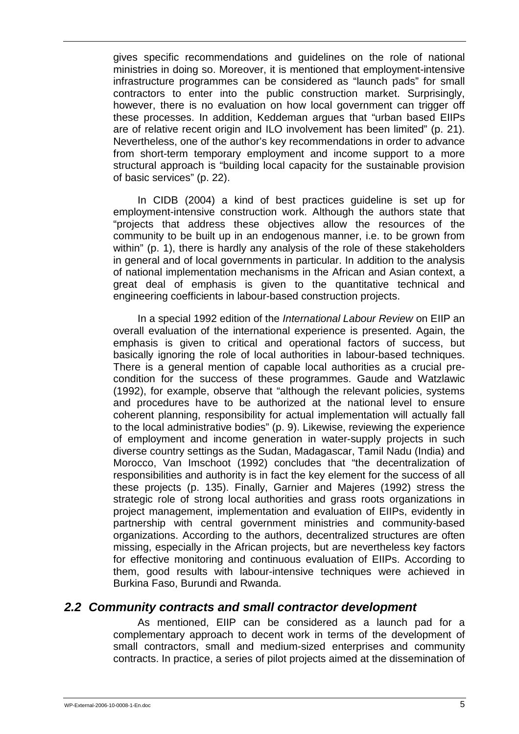gives specific recommendations and guidelines on the role of national ministries in doing so. Moreover, it is mentioned that employment-intensive infrastructure programmes can be considered as "launch pads" for small contractors to enter into the public construction market. Surprisingly, however, there is no evaluation on how local government can trigger off these processes. In addition, Keddeman argues that "urban based EIIPs are of relative recent origin and ILO involvement has been limited" (p. 21). Nevertheless, one of the author's key recommendations in order to advance from short-term temporary employment and income support to a more structural approach is "building local capacity for the sustainable provision of basic services" (p. 22).

In CIDB (2004) a kind of best practices guideline is set up for employment-intensive construction work. Although the authors state that "projects that address these objectives allow the resources of the community to be built up in an endogenous manner, i.e. to be grown from within" (p. 1), there is hardly any analysis of the role of these stakeholders in general and of local governments in particular. In addition to the analysis of national implementation mechanisms in the African and Asian context, a great deal of emphasis is given to the quantitative technical and engineering coefficients in labour-based construction projects.

In a special 1992 edition of the *International Labour Review* on EIIP an overall evaluation of the international experience is presented. Again, the emphasis is given to critical and operational factors of success, but basically ignoring the role of local authorities in labour-based techniques. There is a general mention of capable local authorities as a crucial precondition for the success of these programmes. Gaude and Watzlawic (1992), for example, observe that "although the relevant policies, systems and procedures have to be authorized at the national level to ensure coherent planning, responsibility for actual implementation will actually fall to the local administrative bodies" (p. 9). Likewise, reviewing the experience of employment and income generation in water-supply projects in such diverse country settings as the Sudan, Madagascar, Tamil Nadu (India) and Morocco, Van Imschoot (1992) concludes that "the decentralization of responsibilities and authority is in fact the key element for the success of all these projects (p. 135). Finally, Garnier and Majeres (1992) stress the strategic role of strong local authorities and grass roots organizations in project management, implementation and evaluation of EIIPs, evidently in partnership with central government ministries and community-based organizations. According to the authors, decentralized structures are often missing, especially in the African projects, but are nevertheless key factors for effective monitoring and continuous evaluation of EIIPs. According to them, good results with labour-intensive techniques were achieved in Burkina Faso, Burundi and Rwanda.

### *2.2 Community contracts and small contractor development*

As mentioned, EIIP can be considered as a launch pad for a complementary approach to decent work in terms of the development of small contractors, small and medium-sized enterprises and community contracts. In practice, a series of pilot projects aimed at the dissemination of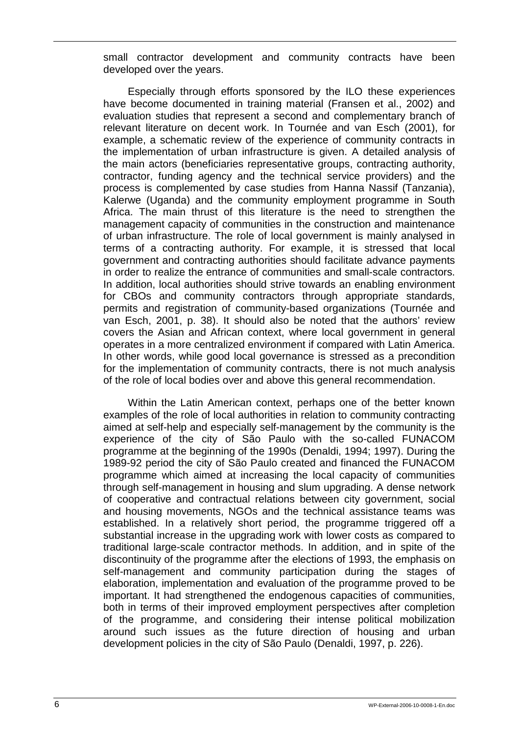small contractor development and community contracts have been developed over the years.

Especially through efforts sponsored by the ILO these experiences have become documented in training material (Fransen et al., 2002) and evaluation studies that represent a second and complementary branch of relevant literature on decent work. In Tournée and van Esch (2001), for example, a schematic review of the experience of community contracts in the implementation of urban infrastructure is given. A detailed analysis of the main actors (beneficiaries representative groups, contracting authority, contractor, funding agency and the technical service providers) and the process is complemented by case studies from Hanna Nassif (Tanzania), Kalerwe (Uganda) and the community employment programme in South Africa. The main thrust of this literature is the need to strengthen the management capacity of communities in the construction and maintenance of urban infrastructure. The role of local government is mainly analysed in terms of a contracting authority. For example, it is stressed that local government and contracting authorities should facilitate advance payments in order to realize the entrance of communities and small-scale contractors. In addition, local authorities should strive towards an enabling environment for CBOs and community contractors through appropriate standards, permits and registration of community-based organizations (Tournée and van Esch, 2001, p. 38). It should also be noted that the authors' review covers the Asian and African context, where local government in general operates in a more centralized environment if compared with Latin America. In other words, while good local governance is stressed as a precondition for the implementation of community contracts, there is not much analysis of the role of local bodies over and above this general recommendation.

Within the Latin American context, perhaps one of the better known examples of the role of local authorities in relation to community contracting aimed at self-help and especially self-management by the community is the experience of the city of São Paulo with the so-called FUNACOM programme at the beginning of the 1990s (Denaldi, 1994; 1997). During the 1989-92 period the city of São Paulo created and financed the FUNACOM programme which aimed at increasing the local capacity of communities through self-management in housing and slum upgrading. A dense network of cooperative and contractual relations between city government, social and housing movements, NGOs and the technical assistance teams was established. In a relatively short period, the programme triggered off a substantial increase in the upgrading work with lower costs as compared to traditional large-scale contractor methods. In addition, and in spite of the discontinuity of the programme after the elections of 1993, the emphasis on self-management and community participation during the stages of elaboration, implementation and evaluation of the programme proved to be important. It had strengthened the endogenous capacities of communities, both in terms of their improved employment perspectives after completion of the programme, and considering their intense political mobilization around such issues as the future direction of housing and urban development policies in the city of São Paulo (Denaldi, 1997, p. 226).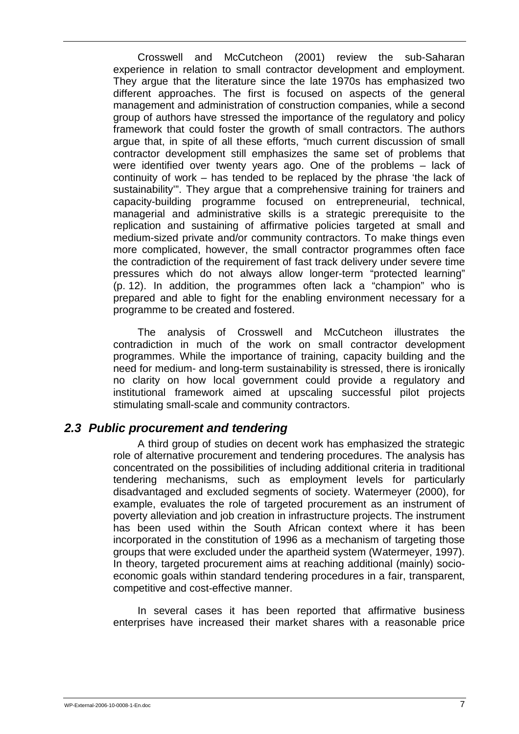Crosswell and McCutcheon (2001) review the sub-Saharan experience in relation to small contractor development and employment. They argue that the literature since the late 1970s has emphasized two different approaches. The first is focused on aspects of the general management and administration of construction companies, while a second group of authors have stressed the importance of the regulatory and policy framework that could foster the growth of small contractors. The authors argue that, in spite of all these efforts, "much current discussion of small contractor development still emphasizes the same set of problems that were identified over twenty years ago. One of the problems – lack of continuity of work – has tended to be replaced by the phrase 'the lack of sustainability'". They argue that a comprehensive training for trainers and capacity-building programme focused on entrepreneurial, technical, managerial and administrative skills is a strategic prerequisite to the replication and sustaining of affirmative policies targeted at small and medium-sized private and/or community contractors. To make things even more complicated, however, the small contractor programmes often face the contradiction of the requirement of fast track delivery under severe time pressures which do not always allow longer-term "protected learning" (p. 12). In addition, the programmes often lack a "champion" who is prepared and able to fight for the enabling environment necessary for a programme to be created and fostered.

The analysis of Crosswell and McCutcheon illustrates the contradiction in much of the work on small contractor development programmes. While the importance of training, capacity building and the need for medium- and long-term sustainability is stressed, there is ironically no clarity on how local government could provide a regulatory and institutional framework aimed at upscaling successful pilot projects stimulating small-scale and community contractors.

### *2.3 Public procurement and tendering*

A third group of studies on decent work has emphasized the strategic role of alternative procurement and tendering procedures. The analysis has concentrated on the possibilities of including additional criteria in traditional tendering mechanisms, such as employment levels for particularly disadvantaged and excluded segments of society. Watermeyer (2000), for example, evaluates the role of targeted procurement as an instrument of poverty alleviation and job creation in infrastructure projects. The instrument has been used within the South African context where it has been incorporated in the constitution of 1996 as a mechanism of targeting those groups that were excluded under the apartheid system (Watermeyer, 1997). In theory, targeted procurement aims at reaching additional (mainly) socioeconomic goals within standard tendering procedures in a fair, transparent, competitive and cost-effective manner.

In several cases it has been reported that affirmative business enterprises have increased their market shares with a reasonable price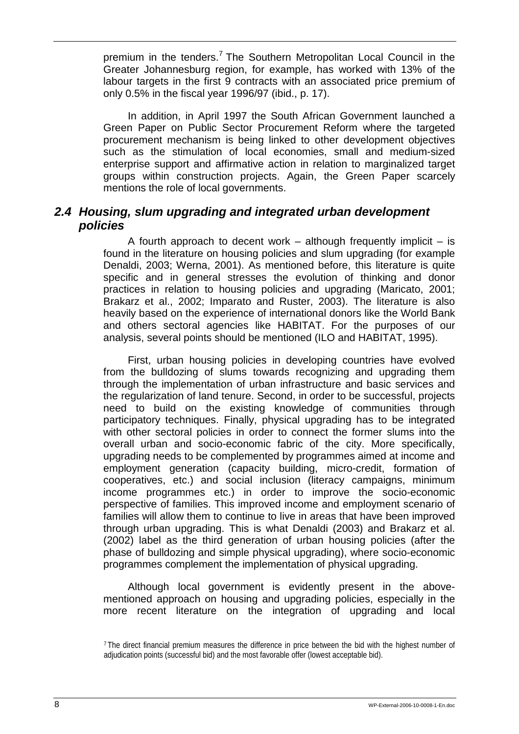premium in the tenders.<sup>7</sup> The Southern Metropolitan Local Council in the Greater Johannesburg region, for example, has worked with 13% of the labour targets in the first 9 contracts with an associated price premium of only 0.5% in the fiscal year 1996/97 (ibid., p. 17).

In addition, in April 1997 the South African Government launched a Green Paper on Public Sector Procurement Reform where the targeted procurement mechanism is being linked to other development objectives such as the stimulation of local economies, small and medium-sized enterprise support and affirmative action in relation to marginalized target groups within construction projects. Again, the Green Paper scarcely mentions the role of local governments.

## *2.4 Housing, slum upgrading and integrated urban development policies*

A fourth approach to decent work – although frequently implicit – is found in the literature on housing policies and slum upgrading (for example Denaldi, 2003; Werna, 2001). As mentioned before, this literature is quite specific and in general stresses the evolution of thinking and donor practices in relation to housing policies and upgrading (Maricato, 2001; Brakarz et al., 2002; Imparato and Ruster, 2003). The literature is also heavily based on the experience of international donors like the World Bank and others sectoral agencies like HABITAT. For the purposes of our analysis, several points should be mentioned (ILO and HABITAT, 1995).

First, urban housing policies in developing countries have evolved from the bulldozing of slums towards recognizing and upgrading them through the implementation of urban infrastructure and basic services and the regularization of land tenure. Second, in order to be successful, projects need to build on the existing knowledge of communities through participatory techniques. Finally, physical upgrading has to be integrated with other sectoral policies in order to connect the former slums into the overall urban and socio-economic fabric of the city. More specifically, upgrading needs to be complemented by programmes aimed at income and employment generation (capacity building, micro-credit, formation of cooperatives, etc.) and social inclusion (literacy campaigns, minimum income programmes etc.) in order to improve the socio-economic perspective of families. This improved income and employment scenario of families will allow them to continue to live in areas that have been improved through urban upgrading. This is what Denaldi (2003) and Brakarz et al. (2002) label as the third generation of urban housing policies (after the phase of bulldozing and simple physical upgrading), where socio-economic programmes complement the implementation of physical upgrading.

Although local government is evidently present in the abovementioned approach on housing and upgrading policies, especially in the more recent literature on the integration of upgrading and local

<sup>7</sup> The direct financial premium measures the difference in price between the bid with the highest number of adjudication points (successful bid) and the most favorable offer (lowest acceptable bid).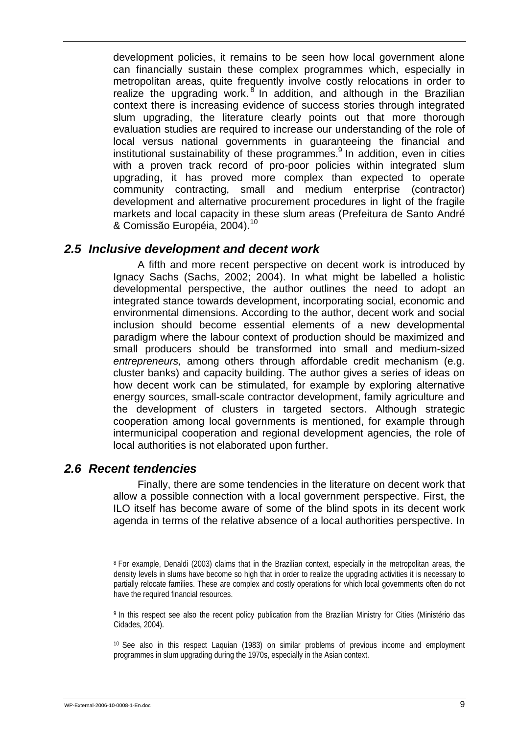development policies, it remains to be seen how local government alone can financially sustain these complex programmes which, especially in metropolitan areas, quite frequently involve costly relocations in order to realize the upgrading work.<sup>8</sup> In addition, and although in the Brazilian context there is increasing evidence of success stories through integrated slum upgrading, the literature clearly points out that more thorough evaluation studies are required to increase our understanding of the role of local versus national governments in guaranteeing the financial and institutional sustainability of these programmes.<sup>9</sup> In addition, even in cities with a proven track record of pro-poor policies within integrated slum upgrading, it has proved more complex than expected to operate community contracting, small and medium enterprise (contractor) development and alternative procurement procedures in light of the fragile markets and local capacity in these slum areas (Prefeitura de Santo André & Comissão Européia, 2004).<sup>10</sup>

### *2.5 Inclusive development and decent work*

A fifth and more recent perspective on decent work is introduced by Ignacy Sachs (Sachs, 2002; 2004). In what might be labelled a holistic developmental perspective, the author outlines the need to adopt an integrated stance towards development, incorporating social, economic and environmental dimensions. According to the author, decent work and social inclusion should become essential elements of a new developmental paradigm where the labour context of production should be maximized and small producers should be transformed into small and medium-sized *entrepreneurs,* among others through affordable credit mechanism (e.g. cluster banks) and capacity building. The author gives a series of ideas on how decent work can be stimulated, for example by exploring alternative energy sources, small-scale contractor development, family agriculture and the development of clusters in targeted sectors. Although strategic cooperation among local governments is mentioned, for example through intermunicipal cooperation and regional development agencies, the role of local authorities is not elaborated upon further.

### *2.6 Recent tendencies*

Finally, there are some tendencies in the literature on decent work that allow a possible connection with a local government perspective. First, the ILO itself has become aware of some of the blind spots in its decent work agenda in terms of the relative absence of a local authorities perspective. In

9 In this respect see also the recent policy publication from the Brazilian Ministry for Cities (Ministério das Cidades, 2004).

10 See also in this respect Laquian (1983) on similar problems of previous income and employment programmes in slum upgrading during the 1970s, especially in the Asian context.

<sup>8</sup> For example, Denaldi (2003) claims that in the Brazilian context, especially in the metropolitan areas, the density levels in slums have become so high that in order to realize the upgrading activities it is necessary to partially relocate families. These are complex and costly operations for which local governments often do not have the required financial resources.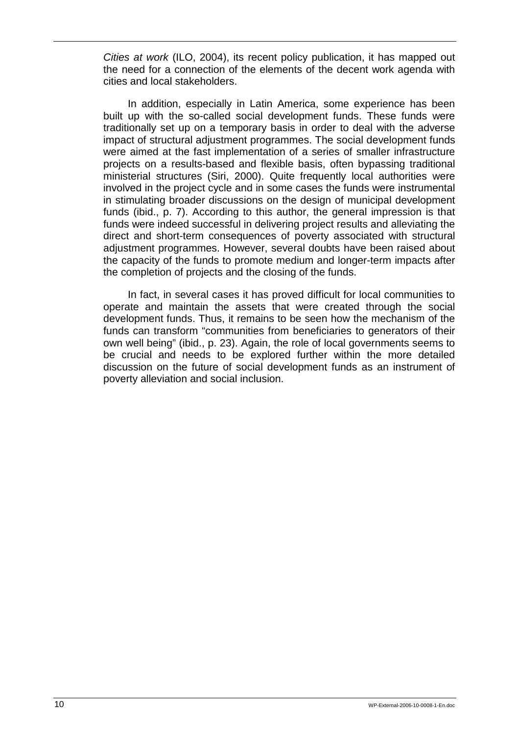*Cities at work* (ILO, 2004), its recent policy publication, it has mapped out the need for a connection of the elements of the decent work agenda with cities and local stakeholders.

In addition, especially in Latin America, some experience has been built up with the so-called social development funds. These funds were traditionally set up on a temporary basis in order to deal with the adverse impact of structural adjustment programmes. The social development funds were aimed at the fast implementation of a series of smaller infrastructure projects on a results-based and flexible basis, often bypassing traditional ministerial structures (Siri, 2000). Quite frequently local authorities were involved in the project cycle and in some cases the funds were instrumental in stimulating broader discussions on the design of municipal development funds (ibid., p. 7). According to this author, the general impression is that funds were indeed successful in delivering project results and alleviating the direct and short-term consequences of poverty associated with structural adjustment programmes. However, several doubts have been raised about the capacity of the funds to promote medium and longer-term impacts after the completion of projects and the closing of the funds.

In fact, in several cases it has proved difficult for local communities to operate and maintain the assets that were created through the social development funds. Thus, it remains to be seen how the mechanism of the funds can transform "communities from beneficiaries to generators of their own well being" (ibid., p. 23). Again, the role of local governments seems to be crucial and needs to be explored further within the more detailed discussion on the future of social development funds as an instrument of poverty alleviation and social inclusion.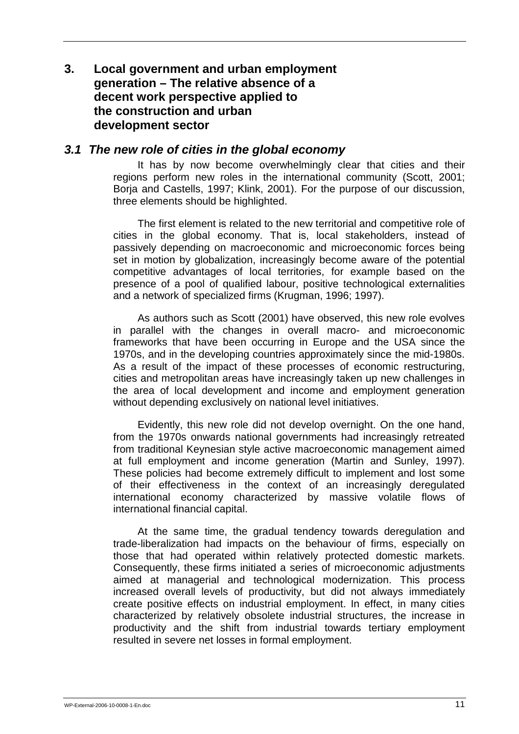# **3. Local government and urban employment generation – The relative absence of a decent work perspective applied to the construction and urban development sector**

### *3.1 The new role of cities in the global economy*

It has by now become overwhelmingly clear that cities and their regions perform new roles in the international community (Scott, 2001; Borja and Castells, 1997; Klink, 2001). For the purpose of our discussion, three elements should be highlighted.

The first element is related to the new territorial and competitive role of cities in the global economy. That is, local stakeholders, instead of passively depending on macroeconomic and microeconomic forces being set in motion by globalization, increasingly become aware of the potential competitive advantages of local territories, for example based on the presence of a pool of qualified labour, positive technological externalities and a network of specialized firms (Krugman, 1996; 1997).

As authors such as Scott (2001) have observed, this new role evolves in parallel with the changes in overall macro- and microeconomic frameworks that have been occurring in Europe and the USA since the 1970s, and in the developing countries approximately since the mid-1980s. As a result of the impact of these processes of economic restructuring, cities and metropolitan areas have increasingly taken up new challenges in the area of local development and income and employment generation without depending exclusively on national level initiatives.

Evidently, this new role did not develop overnight. On the one hand, from the 1970s onwards national governments had increasingly retreated from traditional Keynesian style active macroeconomic management aimed at full employment and income generation (Martin and Sunley, 1997). These policies had become extremely difficult to implement and lost some of their effectiveness in the context of an increasingly deregulated international economy characterized by massive volatile flows of international financial capital.

At the same time, the gradual tendency towards deregulation and trade-liberalization had impacts on the behaviour of firms, especially on those that had operated within relatively protected domestic markets. Consequently, these firms initiated a series of microeconomic adjustments aimed at managerial and technological modernization. This process increased overall levels of productivity, but did not always immediately create positive effects on industrial employment. In effect, in many cities characterized by relatively obsolete industrial structures, the increase in productivity and the shift from industrial towards tertiary employment resulted in severe net losses in formal employment.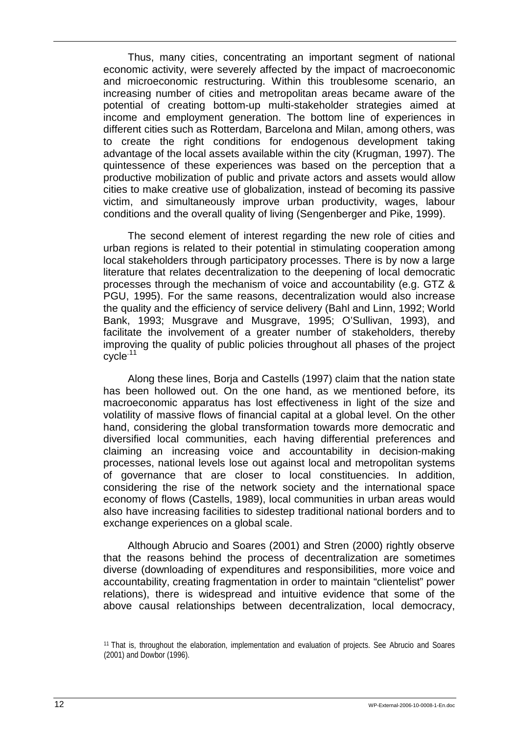Thus, many cities, concentrating an important segment of national economic activity, were severely affected by the impact of macroeconomic and microeconomic restructuring. Within this troublesome scenario, an increasing number of cities and metropolitan areas became aware of the potential of creating bottom-up multi-stakeholder strategies aimed at income and employment generation. The bottom line of experiences in different cities such as Rotterdam, Barcelona and Milan, among others, was to create the right conditions for endogenous development taking advantage of the local assets available within the city (Krugman, 1997). The quintessence of these experiences was based on the perception that a productive mobilization of public and private actors and assets would allow cities to make creative use of globalization, instead of becoming its passive victim, and simultaneously improve urban productivity, wages, labour conditions and the overall quality of living (Sengenberger and Pike, 1999).

The second element of interest regarding the new role of cities and urban regions is related to their potential in stimulating cooperation among local stakeholders through participatory processes. There is by now a large literature that relates decentralization to the deepening of local democratic processes through the mechanism of voice and accountability (e.g. GTZ & PGU, 1995). For the same reasons, decentralization would also increase the quality and the efficiency of service delivery (Bahl and Linn, 1992; World Bank, 1993; Musgrave and Musgrave, 1995; O'Sullivan, 1993), and facilitate the involvement of a greater number of stakeholders, thereby improving the quality of public policies throughout all phases of the project cycle.11

Along these lines, Borja and Castells (1997) claim that the nation state has been hollowed out. On the one hand, as we mentioned before, its macroeconomic apparatus has lost effectiveness in light of the size and volatility of massive flows of financial capital at a global level. On the other hand, considering the global transformation towards more democratic and diversified local communities, each having differential preferences and claiming an increasing voice and accountability in decision-making processes, national levels lose out against local and metropolitan systems of governance that are closer to local constituencies. In addition, considering the rise of the network society and the international space economy of flows (Castells, 1989), local communities in urban areas would also have increasing facilities to sidestep traditional national borders and to exchange experiences on a global scale.

Although Abrucio and Soares (2001) and Stren (2000) rightly observe that the reasons behind the process of decentralization are sometimes diverse (downloading of expenditures and responsibilities, more voice and accountability, creating fragmentation in order to maintain "clientelist" power relations), there is widespread and intuitive evidence that some of the above causal relationships between decentralization, local democracy,

<sup>11</sup> That is, throughout the elaboration, implementation and evaluation of projects. See Abrucio and Soares (2001) and Dowbor (1996).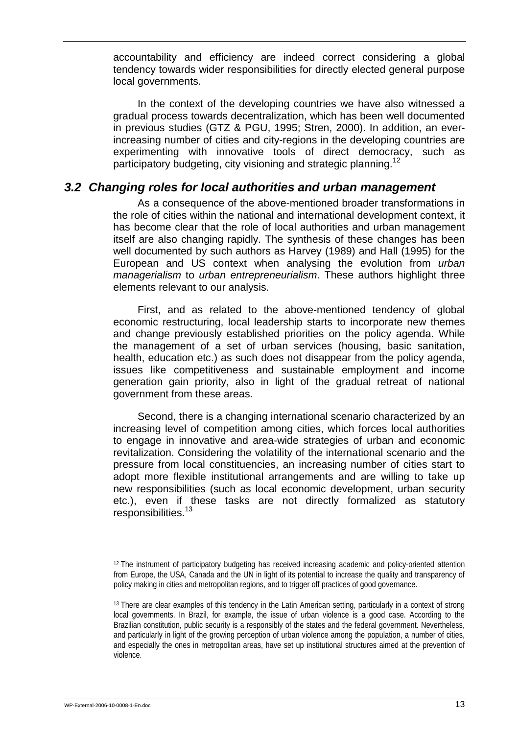accountability and efficiency are indeed correct considering a global tendency towards wider responsibilities for directly elected general purpose local governments.

In the context of the developing countries we have also witnessed a gradual process towards decentralization, which has been well documented in previous studies (GTZ & PGU, 1995; Stren, 2000). In addition, an everincreasing number of cities and city-regions in the developing countries are experimenting with innovative tools of direct democracy, such as participatory budgeting, city visioning and strategic planning.<sup>12</sup>

#### *3.2 Changing roles for local authorities and urban management*

As a consequence of the above-mentioned broader transformations in the role of cities within the national and international development context, it has become clear that the role of local authorities and urban management itself are also changing rapidly. The synthesis of these changes has been well documented by such authors as Harvey (1989) and Hall (1995) for the European and US context when analysing the evolution from *urban managerialism* to *urban entrepreneurialism*. These authors highlight three elements relevant to our analysis.

First, and as related to the above-mentioned tendency of global economic restructuring, local leadership starts to incorporate new themes and change previously established priorities on the policy agenda. While the management of a set of urban services (housing, basic sanitation, health, education etc.) as such does not disappear from the policy agenda, issues like competitiveness and sustainable employment and income generation gain priority, also in light of the gradual retreat of national government from these areas.

Second, there is a changing international scenario characterized by an increasing level of competition among cities, which forces local authorities to engage in innovative and area-wide strategies of urban and economic revitalization. Considering the volatility of the international scenario and the pressure from local constituencies, an increasing number of cities start to adopt more flexible institutional arrangements and are willing to take up new responsibilities (such as local economic development, urban security etc.), even if these tasks are not directly formalized as statutory responsibilities.<sup>13</sup>

<sup>12</sup> The instrument of participatory budgeting has received increasing academic and policy-oriented attention from Europe, the USA, Canada and the UN in light of its potential to increase the quality and transparency of policy making in cities and metropolitan regions, and to trigger off practices of good governance.

<sup>13</sup> There are clear examples of this tendency in the Latin American setting, particularly in a context of strong local governments. In Brazil, for example, the issue of urban violence is a good case. According to the Brazilian constitution, public security is a responsibly of the states and the federal government. Nevertheless, and particularly in light of the growing perception of urban violence among the population, a number of cities, and especially the ones in metropolitan areas, have set up institutional structures aimed at the prevention of violence.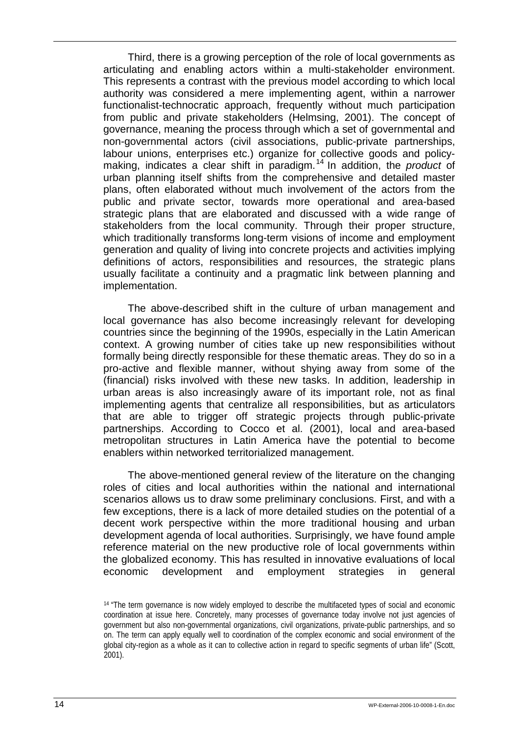Third, there is a growing perception of the role of local governments as articulating and enabling actors within a multi-stakeholder environment. This represents a contrast with the previous model according to which local authority was considered a mere implementing agent, within a narrower functionalist-technocratic approach, frequently without much participation from public and private stakeholders (Helmsing, 2001). The concept of governance, meaning the process through which a set of governmental and non-governmental actors (civil associations, public-private partnerships, labour unions, enterprises etc.) organize for collective goods and policymaking, indicates a clear shift in paradigm.14 In addition, the *product* of urban planning itself shifts from the comprehensive and detailed master plans, often elaborated without much involvement of the actors from the public and private sector, towards more operational and area-based strategic plans that are elaborated and discussed with a wide range of stakeholders from the local community. Through their proper structure, which traditionally transforms long-term visions of income and employment generation and quality of living into concrete projects and activities implying definitions of actors, responsibilities and resources, the strategic plans usually facilitate a continuity and a pragmatic link between planning and implementation.

The above-described shift in the culture of urban management and local governance has also become increasingly relevant for developing countries since the beginning of the 1990s, especially in the Latin American context. A growing number of cities take up new responsibilities without formally being directly responsible for these thematic areas. They do so in a pro-active and flexible manner, without shying away from some of the (financial) risks involved with these new tasks. In addition, leadership in urban areas is also increasingly aware of its important role, not as final implementing agents that centralize all responsibilities, but as articulators that are able to trigger off strategic projects through public-private partnerships. According to Cocco et al. (2001), local and area-based metropolitan structures in Latin America have the potential to become enablers within networked territorialized management.

The above-mentioned general review of the literature on the changing roles of cities and local authorities within the national and international scenarios allows us to draw some preliminary conclusions. First, and with a few exceptions, there is a lack of more detailed studies on the potential of a decent work perspective within the more traditional housing and urban development agenda of local authorities. Surprisingly, we have found ample reference material on the new productive role of local governments within the globalized economy. This has resulted in innovative evaluations of local economic development and employment strategies in general

<sup>14 &</sup>quot;The term governance is now widely employed to describe the multifaceted types of social and economic coordination at issue here. Concretely, many processes of governance today involve not just agencies of government but also non-governmental organizations, civil organizations, private-public partnerships, and so on. The term can apply equally well to coordination of the complex economic and social environment of the global city-region as a whole as it can to collective action in regard to specific segments of urban life" (Scott, 2001).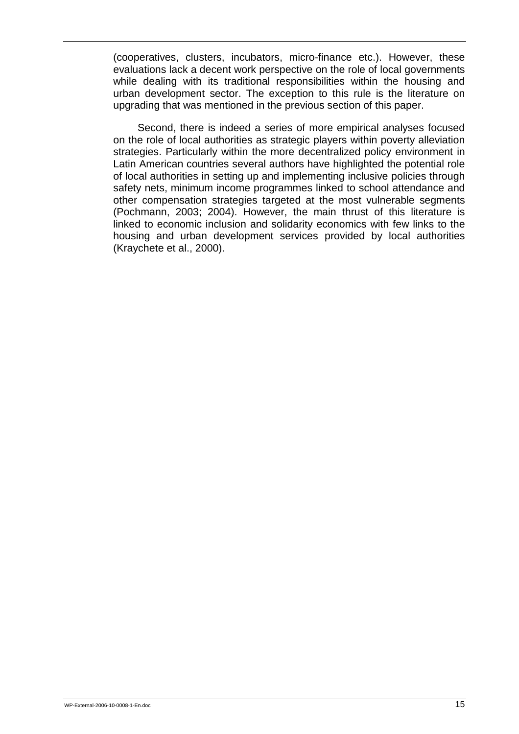(cooperatives, clusters, incubators, micro-finance etc.). However, these evaluations lack a decent work perspective on the role of local governments while dealing with its traditional responsibilities within the housing and urban development sector. The exception to this rule is the literature on upgrading that was mentioned in the previous section of this paper.

Second, there is indeed a series of more empirical analyses focused on the role of local authorities as strategic players within poverty alleviation strategies. Particularly within the more decentralized policy environment in Latin American countries several authors have highlighted the potential role of local authorities in setting up and implementing inclusive policies through safety nets, minimum income programmes linked to school attendance and other compensation strategies targeted at the most vulnerable segments (Pochmann, 2003; 2004). However, the main thrust of this literature is linked to economic inclusion and solidarity economics with few links to the housing and urban development services provided by local authorities (Kraychete et al., 2000).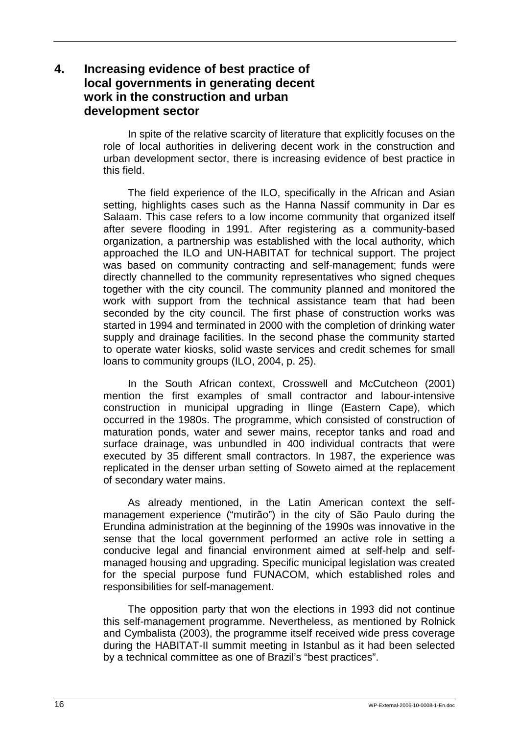# **4. Increasing evidence of best practice of local governments in generating decent work in the construction and urban development sector**

In spite of the relative scarcity of literature that explicitly focuses on the role of local authorities in delivering decent work in the construction and urban development sector, there is increasing evidence of best practice in this field.

The field experience of the ILO, specifically in the African and Asian setting, highlights cases such as the Hanna Nassif community in Dar es Salaam. This case refers to a low income community that organized itself after severe flooding in 1991. After registering as a community-based organization, a partnership was established with the local authority, which approached the ILO and UN-HABITAT for technical support. The project was based on community contracting and self-management; funds were directly channelled to the community representatives who signed cheques together with the city council. The community planned and monitored the work with support from the technical assistance team that had been seconded by the city council. The first phase of construction works was started in 1994 and terminated in 2000 with the completion of drinking water supply and drainage facilities. In the second phase the community started to operate water kiosks, solid waste services and credit schemes for small loans to community groups (ILO, 2004, p. 25).

In the South African context, Crosswell and McCutcheon (2001) mention the first examples of small contractor and labour-intensive construction in municipal upgrading in Ilinge (Eastern Cape), which occurred in the 1980s. The programme, which consisted of construction of maturation ponds, water and sewer mains, receptor tanks and road and surface drainage, was unbundled in 400 individual contracts that were executed by 35 different small contractors. In 1987, the experience was replicated in the denser urban setting of Soweto aimed at the replacement of secondary water mains.

As already mentioned, in the Latin American context the selfmanagement experience ("mutirão") in the city of São Paulo during the Erundina administration at the beginning of the 1990s was innovative in the sense that the local government performed an active role in setting a conducive legal and financial environment aimed at self-help and selfmanaged housing and upgrading. Specific municipal legislation was created for the special purpose fund FUNACOM, which established roles and responsibilities for self-management.

The opposition party that won the elections in 1993 did not continue this self-management programme. Nevertheless, as mentioned by Rolnick and Cymbalista (2003), the programme itself received wide press coverage during the HABITAT-II summit meeting in Istanbul as it had been selected by a technical committee as one of Brazil's "best practices".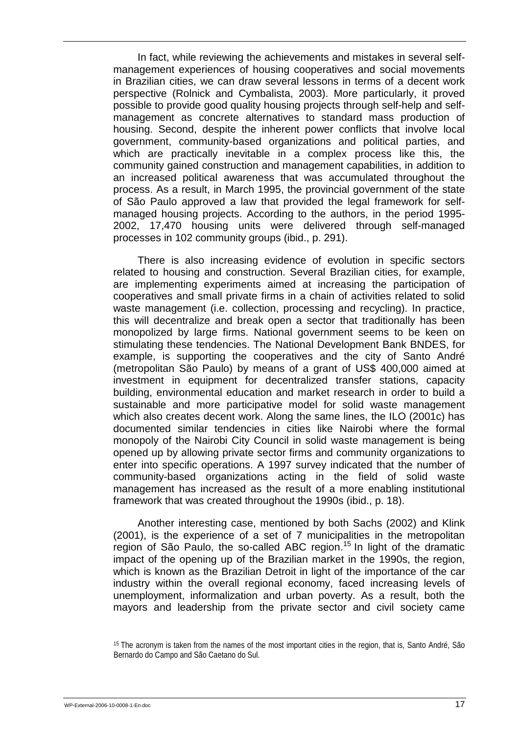In fact, while reviewing the achievements and mistakes in several selfmanagement experiences of housing cooperatives and social movements in Brazilian cities, we can draw several lessons in terms of a decent work perspective (Rolnick and Cymbalista, 2003). More particularly, it proved possible to provide good quality housing projects through self-help and selfmanagement as concrete alternatives to standard mass production of housing. Second, despite the inherent power conflicts that involve local government, community-based organizations and political parties, and which are practically inevitable in a complex process like this, the community gained construction and management capabilities, in addition to an increased political awareness that was accumulated throughout the process. As a result, in March 1995, the provincial government of the state of São Paulo approved a law that provided the legal framework for selfmanaged housing projects. According to the authors, in the period 1995- 2002, 17,470 housing units were delivered through self-managed processes in 102 community groups (ibid., p. 291).

There is also increasing evidence of evolution in specific sectors related to housing and construction. Several Brazilian cities, for example, are implementing experiments aimed at increasing the participation of cooperatives and small private firms in a chain of activities related to solid waste management (i.e. collection, processing and recycling). In practice, this will decentralize and break open a sector that traditionally has been monopolized by large firms. National government seems to be keen on stimulating these tendencies. The National Development Bank BNDES, for example, is supporting the cooperatives and the city of Santo André (metropolitan São Paulo) by means of a grant of US\$ 400,000 aimed at investment in equipment for decentralized transfer stations, capacity building, environmental education and market research in order to build a sustainable and more participative model for solid waste management which also creates decent work. Along the same lines, the ILO (2001c) has documented similar tendencies in cities like Nairobi where the formal monopoly of the Nairobi City Council in solid waste management is being opened up by allowing private sector firms and community organizations to enter into specific operations. A 1997 survey indicated that the number of community-based organizations acting in the field of solid waste management has increased as the result of a more enabling institutional framework that was created throughout the 1990s (ibid., p. 18).

Another interesting case, mentioned by both Sachs (2002) and Klink (2001), is the experience of a set of 7 municipalities in the metropolitan region of São Paulo, the so-called ABC region.<sup>15</sup> In light of the dramatic impact of the opening up of the Brazilian market in the 1990s, the region, which is known as the Brazilian Detroit in light of the importance of the car industry within the overall regional economy, faced increasing levels of unemployment, informalization and urban poverty. As a result, both the mayors and leadership from the private sector and civil society came

<sup>15</sup> The acronym is taken from the names of the most important cities in the region, that is, Santo André, São Bernardo do Campo and São Caetano do Sul.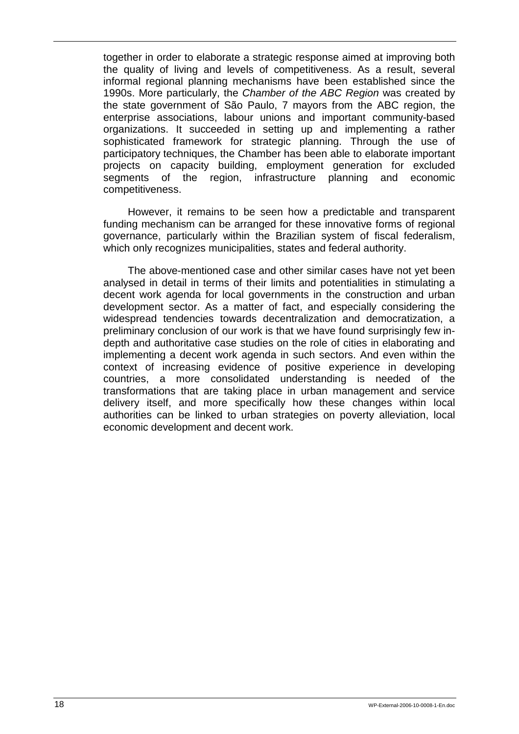together in order to elaborate a strategic response aimed at improving both the quality of living and levels of competitiveness. As a result, several informal regional planning mechanisms have been established since the 1990s. More particularly, the *Chamber of the ABC Region* was created by the state government of São Paulo, 7 mayors from the ABC region, the enterprise associations, labour unions and important community-based organizations. It succeeded in setting up and implementing a rather sophisticated framework for strategic planning. Through the use of participatory techniques, the Chamber has been able to elaborate important projects on capacity building, employment generation for excluded segments of the region, infrastructure planning and economic competitiveness.

However, it remains to be seen how a predictable and transparent funding mechanism can be arranged for these innovative forms of regional governance, particularly within the Brazilian system of fiscal federalism, which only recognizes municipalities, states and federal authority.

The above-mentioned case and other similar cases have not yet been analysed in detail in terms of their limits and potentialities in stimulating a decent work agenda for local governments in the construction and urban development sector. As a matter of fact, and especially considering the widespread tendencies towards decentralization and democratization, a preliminary conclusion of our work is that we have found surprisingly few indepth and authoritative case studies on the role of cities in elaborating and implementing a decent work agenda in such sectors. And even within the context of increasing evidence of positive experience in developing countries, a more consolidated understanding is needed of the transformations that are taking place in urban management and service delivery itself, and more specifically how these changes within local authorities can be linked to urban strategies on poverty alleviation, local economic development and decent work.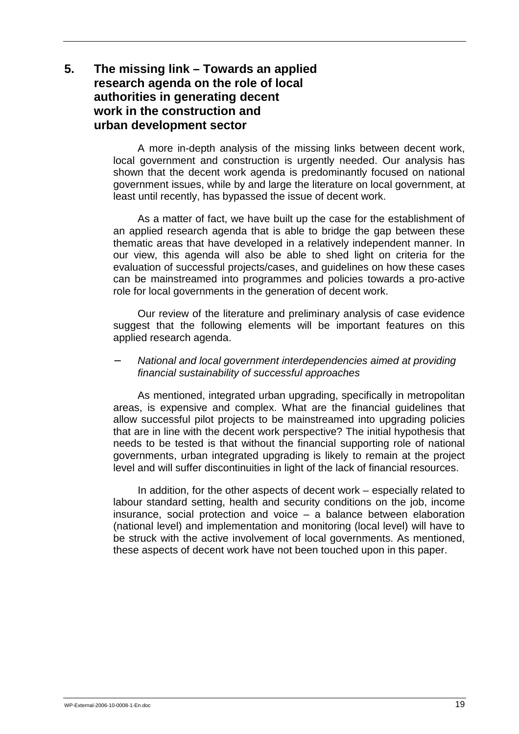# **5. The missing link – Towards an applied research agenda on the role of local authorities in generating decent work in the construction and urban development sector**

A more in-depth analysis of the missing links between decent work, local government and construction is urgently needed. Our analysis has shown that the decent work agenda is predominantly focused on national government issues, while by and large the literature on local government, at least until recently, has bypassed the issue of decent work.

As a matter of fact, we have built up the case for the establishment of an applied research agenda that is able to bridge the gap between these thematic areas that have developed in a relatively independent manner. In our view, this agenda will also be able to shed light on criteria for the evaluation of successful projects/cases, and guidelines on how these cases can be mainstreamed into programmes and policies towards a pro-active role for local governments in the generation of decent work.

Our review of the literature and preliminary analysis of case evidence suggest that the following elements will be important features on this applied research agenda.

#### − *National and local government interdependencies aimed at providing financial sustainability of successful approaches*

As mentioned, integrated urban upgrading, specifically in metropolitan areas, is expensive and complex. What are the financial guidelines that allow successful pilot projects to be mainstreamed into upgrading policies that are in line with the decent work perspective? The initial hypothesis that needs to be tested is that without the financial supporting role of national governments, urban integrated upgrading is likely to remain at the project level and will suffer discontinuities in light of the lack of financial resources.

In addition, for the other aspects of decent work – especially related to labour standard setting, health and security conditions on the job, income insurance, social protection and voice – a balance between elaboration (national level) and implementation and monitoring (local level) will have to be struck with the active involvement of local governments. As mentioned, these aspects of decent work have not been touched upon in this paper.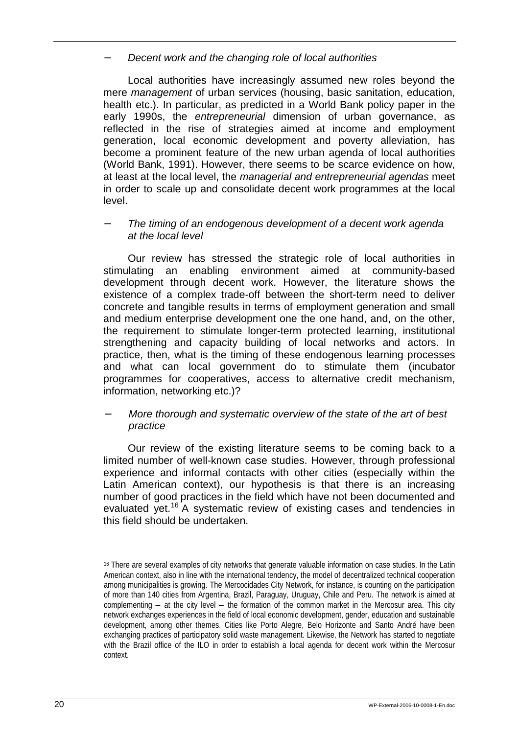− *Decent work and the changing role of local authorities* 

Local authorities have increasingly assumed new roles beyond the mere *management* of urban services (housing, basic sanitation, education, health etc.). In particular, as predicted in a World Bank policy paper in the early 1990s, the *entrepreneurial* dimension of urban governance, as reflected in the rise of strategies aimed at income and employment generation, local economic development and poverty alleviation, has become a prominent feature of the new urban agenda of local authorities (World Bank, 1991). However, there seems to be scarce evidence on how, at least at the local level, the *managerial and entrepreneurial agendas* meet in order to scale up and consolidate decent work programmes at the local level.

#### − *The timing of an endogenous development of a decent work agenda at the local level*

Our review has stressed the strategic role of local authorities in stimulating an enabling environment aimed at community-based development through decent work. However, the literature shows the existence of a complex trade-off between the short-term need to deliver concrete and tangible results in terms of employment generation and small and medium enterprise development one the one hand, and, on the other, the requirement to stimulate longer-term protected learning, institutional strengthening and capacity building of local networks and actors. In practice, then, what is the timing of these endogenous learning processes and what can local government do to stimulate them (incubator programmes for cooperatives, access to alternative credit mechanism, information, networking etc.)?

#### − *More thorough and systematic overview of the state of the art of best practice*

Our review of the existing literature seems to be coming back to a limited number of well-known case studies. However, through professional experience and informal contacts with other cities (especially within the Latin American context), our hypothesis is that there is an increasing number of good practices in the field which have not been documented and evaluated yet.<sup>16</sup> A systematic review of existing cases and tendencies in this field should be undertaken.

<sup>16</sup> There are several examples of city networks that generate valuable information on case studies. In the Latin American context, also in line with the international tendency, the model of decentralized technical cooperation among municipalities is growing. The Mercocidades City Network, for instance, is counting on the participation of more than 140 cities from Argentina, Brazil, Paraguay, Uruguay, Chile and Peru. The network is aimed at complementing  $-$  at the city level  $-$  the formation of the common market in the Mercosur area. This city network exchanges experiences in the field of local economic development, gender, education and sustainable development, among other themes. Cities like Porto Alegre, Belo Horizonte and Santo André have been exchanging practices of participatory solid waste management. Likewise, the Network has started to negotiate with the Brazil office of the ILO in order to establish a local agenda for decent work within the Mercosur context.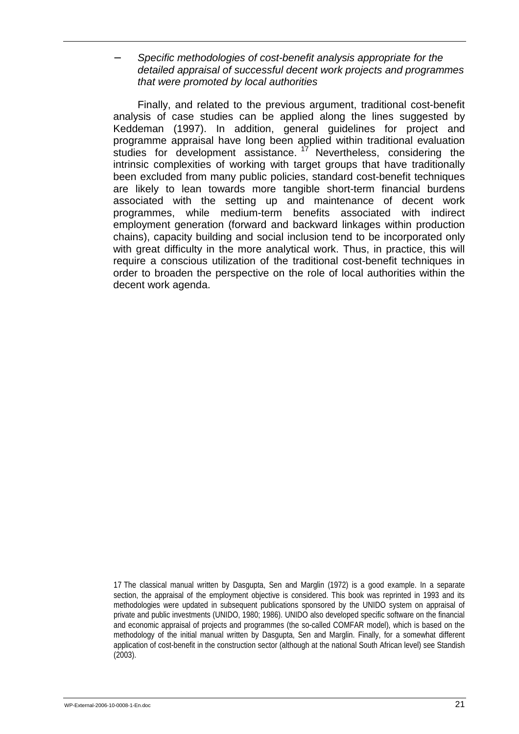#### − *Specific methodologies of cost-benefit analysis appropriate for the detailed appraisal of successful decent work projects and programmes that were promoted by local authorities*

Finally, and related to the previous argument, traditional cost-benefit analysis of case studies can be applied along the lines suggested by Keddeman (1997). In addition, general guidelines for project and programme appraisal have long been applied within traditional evaluation studies for development assistance.  $17$  Nevertheless, considering the intrinsic complexities of working with target groups that have traditionally been excluded from many public policies, standard cost-benefit techniques are likely to lean towards more tangible short-term financial burdens associated with the setting up and maintenance of decent work programmes, while medium-term benefits associated with indirect employment generation (forward and backward linkages within production chains), capacity building and social inclusion tend to be incorporated only with great difficulty in the more analytical work. Thus, in practice, this will require a conscious utilization of the traditional cost-benefit techniques in order to broaden the perspective on the role of local authorities within the decent work agenda.

<sup>17</sup> The classical manual written by Dasgupta, Sen and Marglin (1972) is a good example. In a separate section, the appraisal of the employment objective is considered. This book was reprinted in 1993 and its methodologies were updated in subsequent publications sponsored by the UNIDO system on appraisal of private and public investments (UNIDO, 1980; 1986). UNIDO also developed specific software on the financial and economic appraisal of projects and programmes (the so-called COMFAR model), which is based on the methodology of the initial manual written by Dasgupta, Sen and Marglin. Finally, for a somewhat different application of cost-benefit in the construction sector (although at the national South African level) see Standish (2003).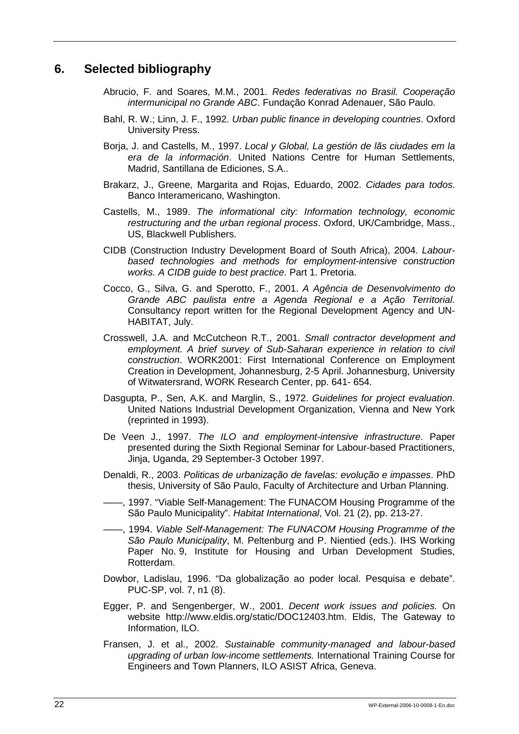## **6. Selected bibliography**

- Abrucio, F. and Soares, M.M., 2001. *Redes federativas no Brasil. Cooperação intermunicipal no Grande ABC*. Fundação Konrad Adenauer, São Paulo.
- Bahl, R. W.; Linn, J. F., 1992. *Urban public finance in developing countries*. Oxford University Press.
- Borja, J. and Castells, M., 1997. *Local y Global, La gestión de lãs ciudades em la era de la información*. United Nations Centre for Human Settlements, Madrid, Santillana de Ediciones, S.A..
- Brakarz, J., Greene, Margarita and Rojas, Eduardo, 2002. *Cidades para todos*. Banco Interamericano, Washington.
- Castells, M., 1989. *The informational city: Information technology, economic restructuring and the urban regional process*. Oxford, UK/Cambridge, Mass., US, Blackwell Publishers.
- CIDB (Construction Industry Development Board of South Africa), 2004. *Labourbased technologies and methods for employment-intensive construction works. A CIDB guide to best practice*. Part 1. Pretoria.
- Cocco, G., Silva, G. and Sperotto, F., 2001. *A Agência de Desenvolvimento do Grande ABC paulista entre a Agenda Regional e a Ação Territorial.*  Consultancy report written for the Regional Development Agency and UN-HABITAT, July.
- Crosswell, J.A. and McCutcheon R.T., 2001. *Small contractor development and employment. A brief survey of Sub-Saharan experience in relation to civil construction*. WORK2001: First International Conference on Employment Creation in Development, Johannesburg, 2-5 April. Johannesburg, University of Witwatersrand, WORK Research Center, pp. 641- 654.
- Dasgupta, P., Sen, A.K. and Marglin, S., 1972. *Guidelines for project evaluation*. United Nations Industrial Development Organization, Vienna and New York (reprinted in 1993).
- De Veen J., 1997. *The ILO and employment-intensive infrastructure*. Paper presented during the Sixth Regional Seminar for Labour-based Practitioners, Jinja, Uganda, 29 September-3 October 1997.
- Denaldi, R., 2003. *Politicas de urbanização de favelas: evolução e impasses*. PhD thesis, University of São Paulo, Faculty of Architecture and Urban Planning.
- ——, 1997. "Viable Self-Management: The FUNACOM Housing Programme of the São Paulo Municipality". *Habitat International*, Vol. 21 (2), pp. 213-27.
- ——, 1994. *Viable Self-Management: The FUNACOM Housing Programme of the São Paulo Municipality*, M. Peltenburg and P. Nientied (eds.). IHS Working Paper No. 9, Institute for Housing and Urban Development Studies, Rotterdam.
- Dowbor, Ladislau, 1996. "Da globalização ao poder local. Pesquisa e debate". PUC-SP, vol. 7, n1 (8).
- Egger, P. and Sengenberger, W., 2001. *Decent work issues and policies.* On website http://www.eldis.org/static/DOC12403.htm. Eldis, The Gateway to Information, ILO.
- Fransen, J. et al., 2002. *Sustainable community-managed and labour-based upgrading of urban low-income settlements.* International Training Course for Engineers and Town Planners, ILO ASIST Africa, Geneva.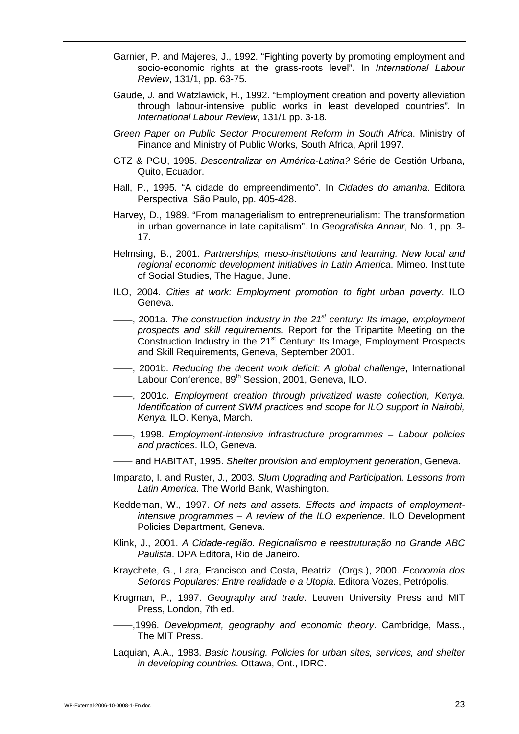- Garnier, P. and Majeres, J., 1992. "Fighting poverty by promoting employment and socio-economic rights at the grass-roots level". In *International Labour Review*, 131/1, pp. 63-75.
- Gaude, J. and Watzlawick, H., 1992. "Employment creation and poverty alleviation through labour-intensive public works in least developed countries". In *International Labour Review*, 131/1 pp. 3-18.
- *Green Paper on Public Sector Procurement Reform in South Africa*. Ministry of Finance and Ministry of Public Works, South Africa, April 1997.
- GTZ & PGU, 1995. *Descentralizar en América-Latina?* Série de Gestión Urbana, Quito, Ecuador.
- Hall, P., 1995. "A cidade do empreendimento". In *Cidades do amanha*. Editora Perspectiva, São Paulo, pp. 405-428.
- Harvey, D., 1989. "From managerialism to entrepreneurialism: The transformation in urban governance in late capitalism". In *Geografiska Annalr*, No. 1, pp. 3- 17.
- Helmsing, B., 2001. *Partnerships, meso-institutions and learning. New local and regional economic development initiatives in Latin America*. Mimeo. Institute of Social Studies, The Hague, June.
- ILO, 2004. *Cities at work: Employment promotion to fight urban poverty*. ILO Geneva.
- ——, 2001a. *The construction industry in the 21st century: Its image, employment prospects and skill requirements.* Report for the Tripartite Meeting on the Construction Industry in the 21<sup>st</sup> Century: Its Image, Employment Prospects and Skill Requirements, Geneva, September 2001.
- ——, 2001b. *Reducing the decent work deficit: A global challenge*, International Labour Conference, 89<sup>th</sup> Session, 2001, Geneva, ILO.
- ——, 2001c. *Employment creation through privatized waste collection, Kenya. Identification of current SWM practices and scope for ILO support in Nairobi, Kenya*. ILO. Kenya, March.
- ——, 1998. *Employment-intensive infrastructure programmes Labour policies and practices*. ILO, Geneva.
- —— and HABITAT, 1995. *Shelter provision and employment generation*, Geneva.
- Imparato, I. and Ruster, J., 2003. *Slum Upgrading and Participation. Lessons from Latin America*. The World Bank, Washington.
- Keddeman, W., 1997. *Of nets and assets. Effects and impacts of employmentintensive programmes – A review of the ILO experience*. ILO Development Policies Department, Geneva.
- Klink, J., 2001. *A Cidade-região. Regionalismo e reestruturação no Grande ABC Paulista*. DPA Editora, Rio de Janeiro.
- Kraychete, G., Lara, Francisco and Costa, Beatriz (Orgs.), 2000. *Economia dos Setores Populares: Entre realidade e a Utopia*. Editora Vozes, Petrópolis.
- Krugman, P., 1997. *Geography and trade*. Leuven University Press and MIT Press, London, 7th ed.
	- ——,1996. *Development, geography and economic theory*. Cambridge, Mass., The MIT Press.
- Laquian, A.A., 1983. *Basic housing. Policies for urban sites, services, and shelter in developing countries*. Ottawa, Ont., IDRC.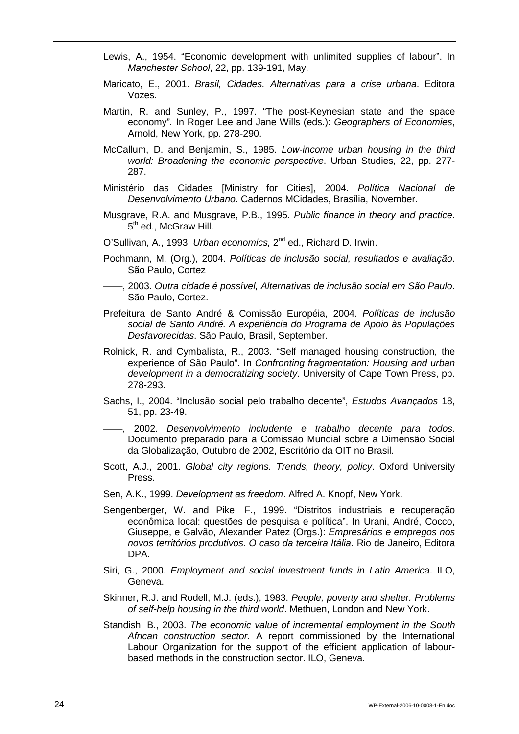- Lewis, A., 1954. "Economic development with unlimited supplies of labour". In *Manchester School*, 22, pp. 139-191, May.
- Maricato, E., 2001. *Brasil, Cidades. Alternativas para a crise urbana*. Editora Vozes.
- Martin, R. and Sunley, P., 1997. "The post-Keynesian state and the space economy"*.* In Roger Lee and Jane Wills (eds.): *Geographers of Economies*, Arnold, New York, pp. 278-290.
- McCallum, D. and Benjamin, S., 1985. *Low-income urban housing in the third world: Broadening the economic perspective*. Urban Studies, 22, pp. 277- 287.
- Ministério das Cidades [Ministry for Cities], 2004. *Política Nacional de Desenvolvimento Urbano*. Cadernos MCidades, Brasília, November.
- Musgrave, R.A. and Musgrave, P.B., 1995. *Public finance in theory and practice*. 5<sup>th</sup> ed., McGraw Hill.
- O'Sullivan, A., 1993. *Urban economics,* 2nd ed., Richard D. Irwin.
- Pochmann, M. (Org.), 2004. *Políticas de inclusão social, resultados e avaliação*. São Paulo, Cortez
- ——, 2003. *Outra cidade é possível, Alternativas de inclusão social em São Paulo*. São Paulo, Cortez.
- Prefeitura de Santo André & Comissão Européia, 2004. *Políticas de inclusão social de Santo André. A experiência do Programa de Apoio às Populações Desfavorecidas*. São Paulo, Brasil, September.
- Rolnick, R. and Cymbalista, R., 2003. "Self managed housing construction, the experience of São Paulo"*.* In *Confronting fragmentation: Housing and urban development in a democratizing society*. University of Cape Town Press, pp. 278-293.
- Sachs, I., 2004. "Inclusão social pelo trabalho decente", *Estudos Avançados* 18, 51, pp. 23-49.
- ——, 2002. *Desenvolvimento includente e trabalho decente para todos*. Documento preparado para a Comissão Mundial sobre a Dimensão Social da Globalização, Outubro de 2002, Escritório da OIT no Brasil.
- Scott, A.J., 2001. *Global city regions. Trends, theory, policy*. Oxford University Press.
- Sen, A.K., 1999. *Development as freedom*. Alfred A. Knopf, New York.
- Sengenberger, W. and Pike, F., 1999. "Distritos industriais e recuperação econômica local: questões de pesquisa e política". In Urani, André, Cocco, Giuseppe, e Galvão, Alexander Patez (Orgs.): *Empresários e empregos nos novos territórios produtivos. O caso da terceira Itália*. Rio de Janeiro, Editora DPA.
- Siri, G., 2000. *Employment and social investment funds in Latin America*. ILO, Geneva.
- Skinner, R.J. and Rodell, M.J. (eds.), 1983. *People, poverty and shelter. Problems of self-help housing in the third world*. Methuen, London and New York.
- Standish, B., 2003. *The economic value of incremental employment in the South African construction sector*. A report commissioned by the International Labour Organization for the support of the efficient application of labourbased methods in the construction sector. ILO, Geneva.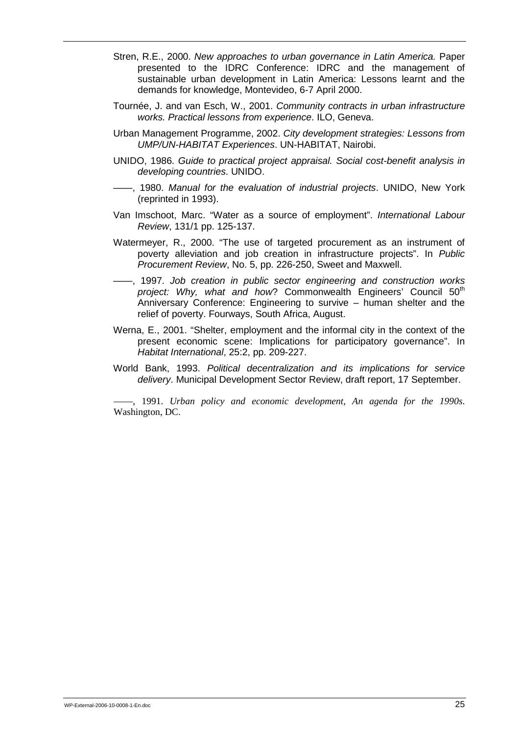- Stren, R.E., 2000. *New approaches to urban governance in Latin America.* Paper presented to the IDRC Conference: IDRC and the management of sustainable urban development in Latin America: Lessons learnt and the demands for knowledge, Montevideo, 6-7 April 2000.
- Tournée, J. and van Esch, W., 2001. *Community contracts in urban infrastructure works. Practical lessons from experience*. ILO, Geneva.
- Urban Management Programme, 2002. *City development strategies: Lessons from UMP/UN-HABITAT Experiences*. UN-HABITAT, Nairobi.
- UNIDO, 1986. *Guide to practical project appraisal. Social cost-benefit analysis in developing countries*. UNIDO.
- ——, 1980. *Manual for the evaluation of industrial projects*. UNIDO, New York (reprinted in 1993).
- Van Imschoot, Marc. "Water as a source of employment". *International Labour Review*, 131/1 pp. 125-137.
- Watermeyer, R., 2000. "The use of targeted procurement as an instrument of poverty alleviation and job creation in infrastructure projects". In *Public Procurement Review*, No. 5, pp. 226-250, Sweet and Maxwell.
- ——, 1997. *Job creation in public sector engineering and construction works project: Why, what and how*? Commonwealth Engineers' Council 50<sup>th</sup> Anniversary Conference: Engineering to survive – human shelter and the relief of poverty. Fourways, South Africa, August.
- Werna, E., 2001. "Shelter, employment and the informal city in the context of the present economic scene: Implications for participatory governance". In *Habitat International*, 25:2, pp. 209-227.
- World Bank, 1993. *Political decentralization and its implications for service delivery*. Municipal Development Sector Review, draft report, 17 September.

——, 1991. *Urban policy and economic development, An agenda for the 1990s*. Washington, DC.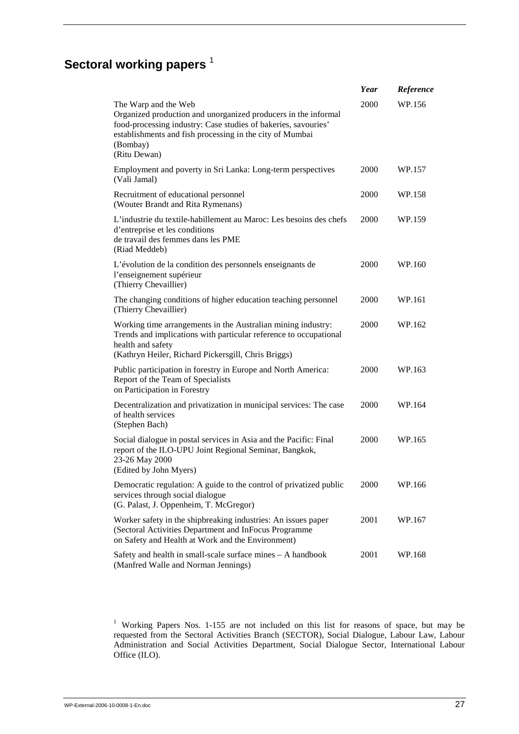# **Sectoral working papers**<sup>1</sup>

|                                                                                                                                                                                                                                                  | Year | Reference |
|--------------------------------------------------------------------------------------------------------------------------------------------------------------------------------------------------------------------------------------------------|------|-----------|
| The Warp and the Web<br>Organized production and unorganized producers in the informal<br>food-processing industry: Case studies of bakeries, savouries'<br>establishments and fish processing in the city of Mumbai<br>(Bombay)<br>(Ritu Dewan) | 2000 | WP.156    |
| Employment and poverty in Sri Lanka: Long-term perspectives<br>(Vali Jamal)                                                                                                                                                                      | 2000 | WP.157    |
| Recruitment of educational personnel<br>(Wouter Brandt and Rita Rymenans)                                                                                                                                                                        | 2000 | WP.158    |
| L'industrie du textile-habillement au Maroc: Les besoins des chefs<br>d'entreprise et les conditions<br>de travail des femmes dans les PME<br>(Riad Meddeb)                                                                                      | 2000 | WP.159    |
| L'évolution de la condition des personnels enseignants de<br>l'enseignement supérieur<br>(Thierry Chevaillier)                                                                                                                                   | 2000 | WP.160    |
| The changing conditions of higher education teaching personnel<br>(Thierry Chevaillier)                                                                                                                                                          | 2000 | WP.161    |
| Working time arrangements in the Australian mining industry:<br>Trends and implications with particular reference to occupational<br>health and safety<br>(Kathryn Heiler, Richard Pickersgill, Chris Briggs)                                    | 2000 | WP.162    |
| Public participation in forestry in Europe and North America:<br>Report of the Team of Specialists<br>on Participation in Forestry                                                                                                               | 2000 | WP.163    |
| Decentralization and privatization in municipal services: The case<br>of health services<br>(Stephen Bach)                                                                                                                                       | 2000 | WP.164    |
| Social dialogue in postal services in Asia and the Pacific: Final<br>report of the ILO-UPU Joint Regional Seminar, Bangkok,<br>23-26 May 2000<br>(Edited by John Myers)                                                                          | 2000 | WP.165    |
| Democratic regulation: A guide to the control of privatized public<br>services through social dialogue<br>(G. Palast, J. Oppenheim, T. McGregor)                                                                                                 | 2000 | WP.166    |
| Worker safety in the shipbreaking industries: An issues paper<br>(Sectoral Activities Department and InFocus Programme<br>on Safety and Health at Work and the Environment)                                                                      | 2001 | WP.167    |
| Safety and health in small-scale surface mines - A handbook<br>(Manfred Walle and Norman Jennings)                                                                                                                                               | 2001 | WP.168    |

<sup>1</sup> Working Papers Nos. 1-155 are not included on this list for reasons of space, but may be requested from the Sectoral Activities Branch (SECTOR), Social Dialogue, Labour Law, Labour Administration and Social Activities Department, Social Dialogue Sector, International Labour Office (ILO).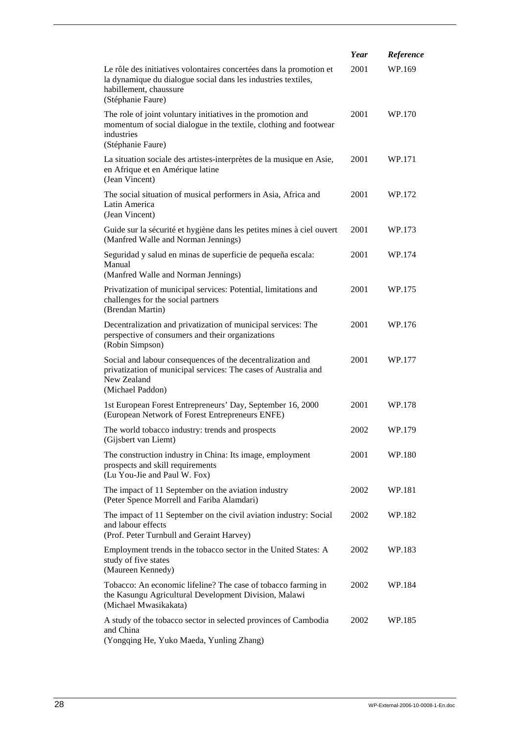|                                                                                                                                                                                     | Year | Reference |
|-------------------------------------------------------------------------------------------------------------------------------------------------------------------------------------|------|-----------|
| Le rôle des initiatives volontaires concertées dans la promotion et<br>la dynamique du dialogue social dans les industries textiles,<br>habillement, chaussure<br>(Stéphanie Faure) | 2001 | WP.169    |
| The role of joint voluntary initiatives in the promotion and<br>momentum of social dialogue in the textile, clothing and footwear<br>industries<br>(Stéphanie Faure)                | 2001 | WP.170    |
| La situation sociale des artistes-interprètes de la musique en Asie,<br>en Afrique et en Amérique latine<br>(Jean Vincent)                                                          | 2001 | WP.171    |
| The social situation of musical performers in Asia, Africa and<br>Latin America<br>(Jean Vincent)                                                                                   | 2001 | WP.172    |
| Guide sur la sécurité et hygiène dans les petites mines à ciel ouvert<br>(Manfred Walle and Norman Jennings)                                                                        | 2001 | WP.173    |
| Seguridad y salud en minas de superficie de pequeña escala:<br>Manual<br>(Manfred Walle and Norman Jennings)                                                                        | 2001 | WP.174    |
| Privatization of municipal services: Potential, limitations and<br>challenges for the social partners<br>(Brendan Martin)                                                           | 2001 | WP.175    |
| Decentralization and privatization of municipal services: The<br>perspective of consumers and their organizations<br>(Robin Simpson)                                                | 2001 | WP.176    |
| Social and labour consequences of the decentralization and<br>privatization of municipal services: The cases of Australia and<br>New Zealand<br>(Michael Paddon)                    | 2001 | WP.177    |
| 1st European Forest Entrepreneurs' Day, September 16, 2000<br>(European Network of Forest Entrepreneurs ENFE)                                                                       | 2001 | WP.178    |
| The world tobacco industry: trends and prospects<br>(Gijsbert van Liemt)                                                                                                            | 2002 | WP.179    |
| The construction industry in China: Its image, employment<br>prospects and skill requirements<br>(Lu You-Jie and Paul W. Fox)                                                       | 2001 | WP.180    |
| The impact of 11 September on the aviation industry<br>(Peter Spence Morrell and Fariba Alamdari)                                                                                   | 2002 | WP.181    |
| The impact of 11 September on the civil aviation industry: Social<br>and labour effects<br>(Prof. Peter Turnbull and Geraint Harvey)                                                | 2002 | WP.182    |
| Employment trends in the tobacco sector in the United States: A<br>study of five states<br>(Maureen Kennedy)                                                                        | 2002 | WP.183    |
| Tobacco: An economic lifeline? The case of tobacco farming in<br>the Kasungu Agricultural Development Division, Malawi<br>(Michael Mwasikakata)                                     | 2002 | WP.184    |
| A study of the tobacco sector in selected provinces of Cambodia<br>and China<br>(Yongqing He, Yuko Maeda, Yunling Zhang)                                                            | 2002 | WP.185    |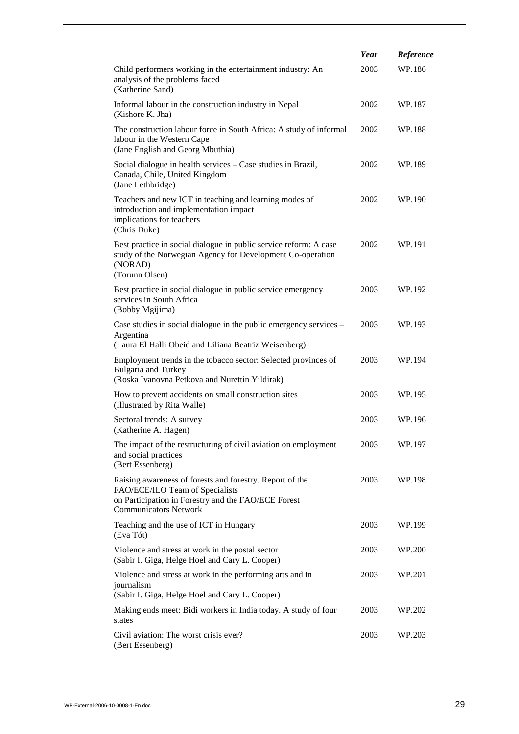|                                                                                                                                                                                    | Year | Reference |
|------------------------------------------------------------------------------------------------------------------------------------------------------------------------------------|------|-----------|
| Child performers working in the entertainment industry: An<br>analysis of the problems faced<br>(Katherine Sand)                                                                   | 2003 | WP.186    |
| Informal labour in the construction industry in Nepal<br>(Kishore K. Jha)                                                                                                          | 2002 | WP.187    |
| The construction labour force in South Africa: A study of informal<br>labour in the Western Cape<br>(Jane English and Georg Mbuthia)                                               | 2002 | WP.188    |
| Social dialogue in health services - Case studies in Brazil,<br>Canada, Chile, United Kingdom<br>(Jane Lethbridge)                                                                 | 2002 | WP.189    |
| Teachers and new ICT in teaching and learning modes of<br>introduction and implementation impact<br>implications for teachers<br>(Chris Duke)                                      | 2002 | WP.190    |
| Best practice in social dialogue in public service reform: A case<br>study of the Norwegian Agency for Development Co-operation<br>(NORAD)<br>(Torunn Olsen)                       | 2002 | WP.191    |
| Best practice in social dialogue in public service emergency<br>services in South Africa<br>(Bobby Mgijima)                                                                        | 2003 | WP.192    |
| Case studies in social dialogue in the public emergency services –<br>Argentina<br>(Laura El Halli Obeid and Liliana Beatriz Weisenberg)                                           | 2003 | WP.193    |
| Employment trends in the tobacco sector: Selected provinces of<br><b>Bulgaria</b> and Turkey<br>(Roska Ivanovna Petkova and Nurettin Yildirak)                                     | 2003 | WP.194    |
| How to prevent accidents on small construction sites<br>(Illustrated by Rita Walle)                                                                                                | 2003 | WP.195    |
| Sectoral trends: A survey<br>(Katherine A. Hagen)                                                                                                                                  | 2003 | WP.196    |
| The impact of the restructuring of civil aviation on employment<br>and social practices<br>(Bert Essenberg)                                                                        | 2003 | WP.197    |
| Raising awareness of forests and forestry. Report of the<br>FAO/ECE/ILO Team of Specialists<br>on Participation in Forestry and the FAO/ECE Forest<br><b>Communicators Network</b> | 2003 | WP.198    |
| Teaching and the use of ICT in Hungary<br>(Eva Tót)                                                                                                                                | 2003 | WP.199    |
| Violence and stress at work in the postal sector<br>(Sabir I. Giga, Helge Hoel and Cary L. Cooper)                                                                                 | 2003 | WP.200    |
| Violence and stress at work in the performing arts and in<br>journalism<br>(Sabir I. Giga, Helge Hoel and Cary L. Cooper)                                                          | 2003 | WP.201    |
| Making ends meet: Bidi workers in India today. A study of four<br>states                                                                                                           | 2003 | WP.202    |
| Civil aviation: The worst crisis ever?<br>(Bert Essenberg)                                                                                                                         | 2003 | WP.203    |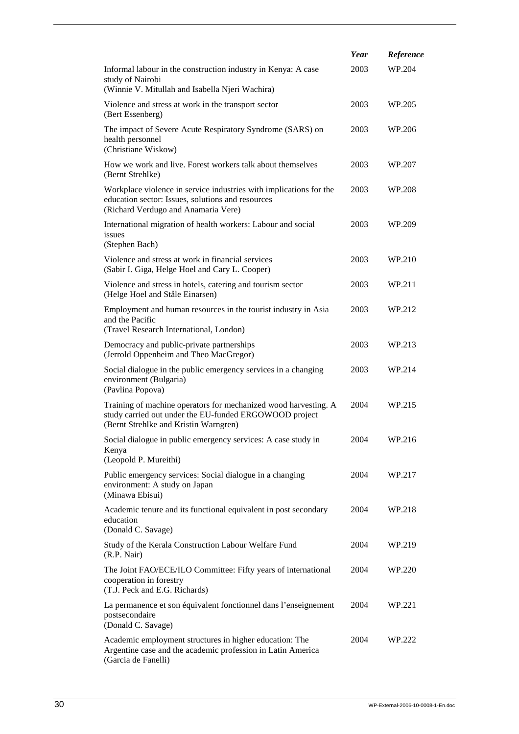|                                                                                                                                                                    | Year | Reference |
|--------------------------------------------------------------------------------------------------------------------------------------------------------------------|------|-----------|
| Informal labour in the construction industry in Kenya: A case<br>study of Nairobi<br>(Winnie V. Mitullah and Isabella Njeri Wachira)                               | 2003 | WP.204    |
| Violence and stress at work in the transport sector<br>(Bert Essenberg)                                                                                            | 2003 | WP.205    |
| The impact of Severe Acute Respiratory Syndrome (SARS) on<br>health personnel<br>(Christiane Wiskow)                                                               | 2003 | WP.206    |
| How we work and live. Forest workers talk about themselves<br>(Bernt Strehlke)                                                                                     | 2003 | WP.207    |
| Workplace violence in service industries with implications for the<br>education sector: Issues, solutions and resources<br>(Richard Verdugo and Anamaria Vere)     | 2003 | WP.208    |
| International migration of health workers: Labour and social<br>issues<br>(Stephen Bach)                                                                           | 2003 | WP.209    |
| Violence and stress at work in financial services<br>(Sabir I. Giga, Helge Hoel and Cary L. Cooper)                                                                | 2003 | WP.210    |
| Violence and stress in hotels, catering and tourism sector<br>(Helge Hoel and Ståle Einarsen)                                                                      | 2003 | WP.211    |
| Employment and human resources in the tourist industry in Asia<br>and the Pacific<br>(Travel Research International, London)                                       | 2003 | WP.212    |
| Democracy and public-private partnerships<br>(Jerrold Oppenheim and Theo MacGregor)                                                                                | 2003 | WP.213    |
| Social dialogue in the public emergency services in a changing<br>environment (Bulgaria)<br>(Pavlina Popova)                                                       | 2003 | WP.214    |
| Training of machine operators for mechanized wood harvesting. A<br>study carried out under the EU-funded ERGOWOOD project<br>(Bernt Strehlke and Kristin Warngren) | 2004 | WP.215    |
| Social dialogue in public emergency services: A case study in<br>Kenya<br>(Leopold P. Mureithi)                                                                    | 2004 | WP.216    |
| Public emergency services: Social dialogue in a changing<br>environment: A study on Japan<br>(Minawa Ebisui)                                                       | 2004 | WP.217    |
| Academic tenure and its functional equivalent in post secondary<br>education<br>(Donald C. Savage)                                                                 | 2004 | WP.218    |
| Study of the Kerala Construction Labour Welfare Fund<br>(R.P. Nair)                                                                                                | 2004 | WP.219    |
| The Joint FAO/ECE/ILO Committee: Fifty years of international<br>cooperation in forestry<br>(T.J. Peck and E.G. Richards)                                          | 2004 | WP.220    |
| La permanence et son équivalent fonctionnel dans l'enseignement<br>postsecondaire<br>(Donald C. Savage)                                                            | 2004 | WP.221    |
| Academic employment structures in higher education: The<br>Argentine case and the academic profession in Latin America<br>(Garcia de Fanelli)                      | 2004 | WP.222    |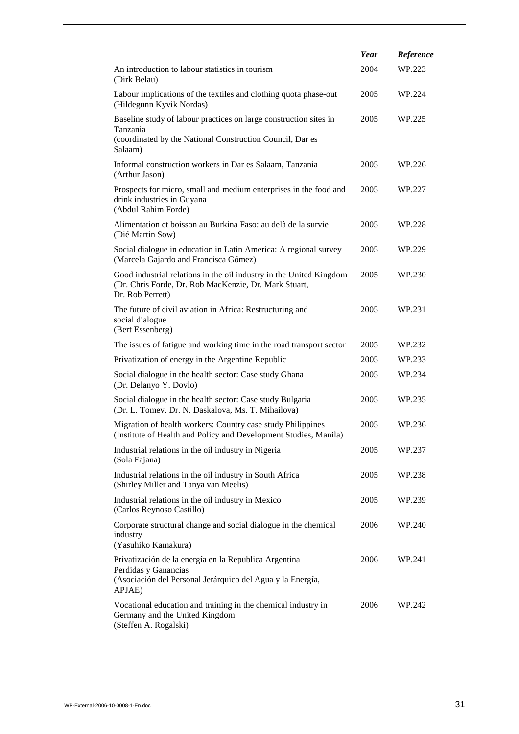|                                                                                                                                                       | Year | Reference |
|-------------------------------------------------------------------------------------------------------------------------------------------------------|------|-----------|
| An introduction to labour statistics in tourism<br>(Dirk Belau)                                                                                       | 2004 | WP.223    |
| Labour implications of the textiles and clothing quota phase-out<br>(Hildegunn Kyvik Nordas)                                                          | 2005 | WP.224    |
| Baseline study of labour practices on large construction sites in<br>Tanzania<br>(coordinated by the National Construction Council, Dar es<br>Salaam) | 2005 | WP.225    |
| Informal construction workers in Dar es Salaam, Tanzania<br>(Arthur Jason)                                                                            | 2005 | WP.226    |
| Prospects for micro, small and medium enterprises in the food and<br>drink industries in Guyana<br>(Abdul Rahim Forde)                                | 2005 | WP.227    |
| Alimentation et boisson au Burkina Faso: au delà de la survie<br>(Dié Martin Sow)                                                                     | 2005 | WP.228    |
| Social dialogue in education in Latin America: A regional survey<br>(Marcela Gajardo and Francisca Gómez)                                             | 2005 | WP.229    |
| Good industrial relations in the oil industry in the United Kingdom<br>(Dr. Chris Forde, Dr. Rob MacKenzie, Dr. Mark Stuart,<br>Dr. Rob Perrett)      | 2005 | WP.230    |
| The future of civil aviation in Africa: Restructuring and<br>social dialogue<br>(Bert Essenberg)                                                      | 2005 | WP.231    |
| The issues of fatigue and working time in the road transport sector                                                                                   | 2005 | WP.232    |
| Privatization of energy in the Argentine Republic                                                                                                     | 2005 | WP.233    |
| Social dialogue in the health sector: Case study Ghana<br>(Dr. Delanyo Y. Dovlo)                                                                      | 2005 | WP.234    |
| Social dialogue in the health sector: Case study Bulgaria<br>(Dr. L. Tomev, Dr. N. Daskalova, Ms. T. Mihailova)                                       | 2005 | WP.235    |
| Migration of health workers: Country case study Philippines<br>(Institute of Health and Policy and Development Studies, Manila)                       | 2005 | WP.236    |
| Industrial relations in the oil industry in Nigeria<br>(Sola Fajana)                                                                                  | 2005 | WP.237    |
| Industrial relations in the oil industry in South Africa<br>(Shirley Miller and Tanya van Meelis)                                                     | 2005 | WP.238    |
| Industrial relations in the oil industry in Mexico<br>(Carlos Reynoso Castillo)                                                                       | 2005 | WP.239    |
| Corporate structural change and social dialogue in the chemical<br>industry<br>(Yasuhiko Kamakura)                                                    | 2006 | WP.240    |
| Privatización de la energía en la Republica Argentina<br>Perdidas y Ganancias<br>(Asociación del Personal Jerárquico del Agua y la Energía,<br>APJAE) | 2006 | WP.241    |
| Vocational education and training in the chemical industry in<br>Germany and the United Kingdom<br>(Steffen A. Rogalski)                              | 2006 | WP.242    |